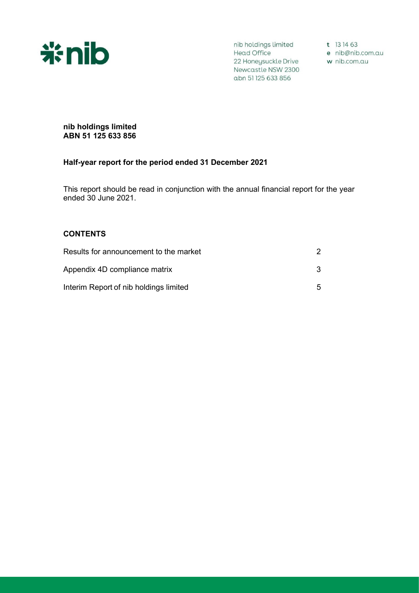

nib holdings limited t 13 14 63 Mead Office<br>
22 Honeysuckle Drive<br>
22 Honeysuckle Drive<br>
22 Honeysuckle Drive<br>
22 Honeysuckle Drive<br>
22 Honeysuckle Drive<br>
22 Honeysuckle Drive Newcastle NSW 2300 abn 51 125 633 856

## **nib holdings limited ABN 51 125 633 856**

# **Half-year report for the period ended 31 December 2021**

This report should be read in conjunction with the annual financial report for the year ended 30 June 2021.

# **CONTENTS**

| Results for announcement to the market |    |
|----------------------------------------|----|
| Appendix 4D compliance matrix          | 3  |
| Interim Report of nib holdings limited | 5. |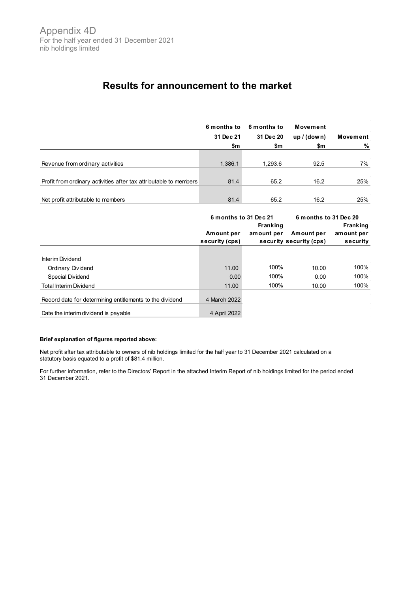# **Results for announcement to the market**

|                                                                   | 6 months to<br>31 Dec 21 | 6 months to<br>31 Dec 20 | Movement<br>up/(down) | Movement |
|-------------------------------------------------------------------|--------------------------|--------------------------|-----------------------|----------|
|                                                                   | \$m                      | \$m                      | \$m                   | %        |
|                                                                   |                          |                          |                       |          |
| Revenue from ordinary activities                                  | 1,386.1                  | 1,293.6                  | 92.5                  | 7%       |
|                                                                   |                          |                          |                       |          |
| Profit from ordinary activities after tax attributable to members | 81.4                     | 65.2                     | 16.2                  | 25%      |
|                                                                   |                          |                          |                       |          |
| Net profit attributable to members                                | 81.4                     | 65.2                     | 16.2                  | 25%      |

|                                                          | 6 months to 31 Dec 21        |                               | 6 months to 31 Dec 20                 |                                           |  |
|----------------------------------------------------------|------------------------------|-------------------------------|---------------------------------------|-------------------------------------------|--|
|                                                          | Amount per<br>security (cps) | <b>Franking</b><br>amount per | Amount per<br>security security (cps) | <b>Franking</b><br>amount per<br>security |  |
|                                                          |                              |                               |                                       |                                           |  |
| Interim Dividend                                         |                              |                               |                                       |                                           |  |
| Ordinary Dividend                                        | 11.00                        | 100%                          | 10.00                                 | 100%                                      |  |
| Special Dividend                                         | 0.00                         | 100%                          | 0.00                                  | 100%                                      |  |
| <b>Total Interim Dividend</b>                            | 11.00                        | 100%                          | 10.00                                 | 100%                                      |  |
| Record date for determining entitlements to the dividend | 4 March 2022                 |                               |                                       |                                           |  |
| Date the interim dividend is payable                     | 4 April 2022                 |                               |                                       |                                           |  |

#### **Brief explanation of figures reported above:**

Net profit after tax attributable to owners of nib holdings limited for the half year to 31 December 2021 calculated on a statutory basis equated to a profit of \$81.4 million.

For further information, refer to the Directors' Report in the attached Interim Report of nib holdings limited for the period ended 31 December 2021.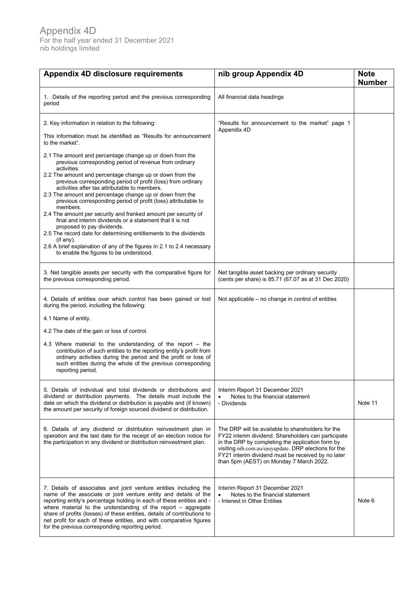| Appendix 4D disclosure requirements                                                                                                                                                                                                                                                                                                                                                                                                                                                                                                                                                                                                                                                                                                                                                                                                                                                                                                                                          | nib group Appendix 4D                                                                                                                                                                                                                                                                                                  | <b>Note</b><br><b>Number</b> |
|------------------------------------------------------------------------------------------------------------------------------------------------------------------------------------------------------------------------------------------------------------------------------------------------------------------------------------------------------------------------------------------------------------------------------------------------------------------------------------------------------------------------------------------------------------------------------------------------------------------------------------------------------------------------------------------------------------------------------------------------------------------------------------------------------------------------------------------------------------------------------------------------------------------------------------------------------------------------------|------------------------------------------------------------------------------------------------------------------------------------------------------------------------------------------------------------------------------------------------------------------------------------------------------------------------|------------------------------|
| 1. Details of the reporting period and the previous corresponding<br>period                                                                                                                                                                                                                                                                                                                                                                                                                                                                                                                                                                                                                                                                                                                                                                                                                                                                                                  | All financial data headings                                                                                                                                                                                                                                                                                            |                              |
| 2. Key information in relation to the following:<br>This information must be identified as "Results for announcement<br>to the market".<br>2.1 The amount and percentage change up or down from the<br>previous corresponding period of revenue from ordinary<br>activities.<br>2.2 The amount and percentage change up or down from the<br>previous corresponding period of profit (loss) from ordinary<br>activities after tax attributable to members.<br>2.3 The amount and percentage change up or down from the<br>previous corresponding period of profit (loss) attributable to<br>members.<br>2.4 The amount per security and franked amount per security of<br>final and interim dividends or a statement that it is not<br>proposed to pay dividends.<br>2.5 The record date for determining entitlements to the dividends<br>$($ if any $).$<br>2.6 A brief explanation of any of the figures in 2.1 to 2.4 necessary<br>to enable the figures to be understood. | "Results for announcement to the market" page 1<br>Appendix 4D                                                                                                                                                                                                                                                         |                              |
| 3. Net tangible assets per security with the comparative figure for<br>the previous corresponding period.                                                                                                                                                                                                                                                                                                                                                                                                                                                                                                                                                                                                                                                                                                                                                                                                                                                                    | Net tangible asset backing per ordinary security<br>(cents per share) is 85.71 (67.07 as at 31 Dec 2020)                                                                                                                                                                                                               |                              |
| 4. Details of entities over which control has been gained or lost<br>during the period, including the following:<br>4.1 Name of entity.                                                                                                                                                                                                                                                                                                                                                                                                                                                                                                                                                                                                                                                                                                                                                                                                                                      | Not applicable – no change in control of entities                                                                                                                                                                                                                                                                      |                              |
| 4.2 The date of the gain or loss of control.<br>4.3 Where material to the understanding of the report $-$ the<br>contribution of such entities to the reporting entity's profit from<br>ordinary activities during the period and the profit or loss of<br>such entities during the whole of the previous corresponding<br>reporting period.                                                                                                                                                                                                                                                                                                                                                                                                                                                                                                                                                                                                                                 |                                                                                                                                                                                                                                                                                                                        |                              |
| 5. Details of individual and total dividends or distributions and<br>dividend or distribution payments. The details must include the<br>date on which the dividend or distribution is payable and (if known)<br>the amount per security of foreign sourced dividend or distribution.                                                                                                                                                                                                                                                                                                                                                                                                                                                                                                                                                                                                                                                                                         | Interim Report 31 December 2021<br>Notes to the financial statement<br>- Dividends                                                                                                                                                                                                                                     | Note 11                      |
| 6. Details of any dividend or distribution reinvestment plan in<br>operation and the last date for the receipt of an election notice for<br>the participation in any dividend or distribution reinvestment plan.                                                                                                                                                                                                                                                                                                                                                                                                                                                                                                                                                                                                                                                                                                                                                             | The DRP will be available to shareholders for the<br>FY22 interim dividend. Shareholders can participate<br>in the DRP by completing the application form by<br>visiting nib.com.au/easyupdate. DRP elections for the<br>FY21 interim dividend must be received by no later<br>than 5pm (AEST) on Monday 7 March 2022. |                              |
| 7. Details of associates and joint venture entities including the<br>name of the associate or joint venture entity and details of the<br>reporting entity's percentage holding in each of these entities and -<br>where material to the understanding of the report $-$ aggregate<br>share of profits (losses) of these entities, details of contributions to<br>net profit for each of these entities, and with comparative figures<br>for the previous corresponding reporting period.                                                                                                                                                                                                                                                                                                                                                                                                                                                                                     | Interim Report 31 December 2021<br>Notes to the financial statement<br>- Interest in Other Entities                                                                                                                                                                                                                    | Note 6                       |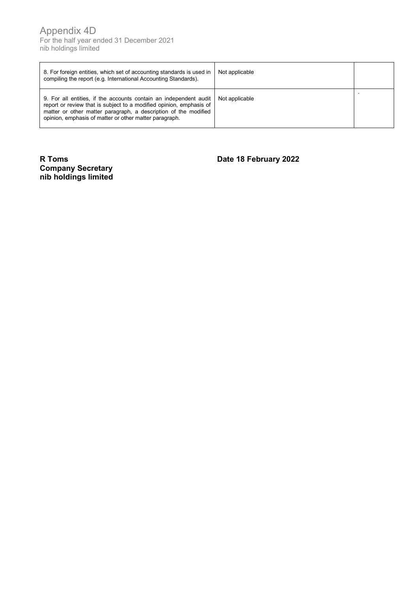| 8. For foreign entities, which set of accounting standards is used in<br>compiling the report (e.g. International Accounting Standards).                                                                                                                              | Not applicable |  |
|-----------------------------------------------------------------------------------------------------------------------------------------------------------------------------------------------------------------------------------------------------------------------|----------------|--|
| 9. For all entities, if the accounts contain an independent audit<br>report or review that is subject to a modified opinion, emphasis of<br>matter or other matter paragraph, a description of the modified<br>opinion, emphasis of matter or other matter paragraph. | Not applicable |  |

# **R Toms Date 18 February 2022 Company Secretary nib holdings limited**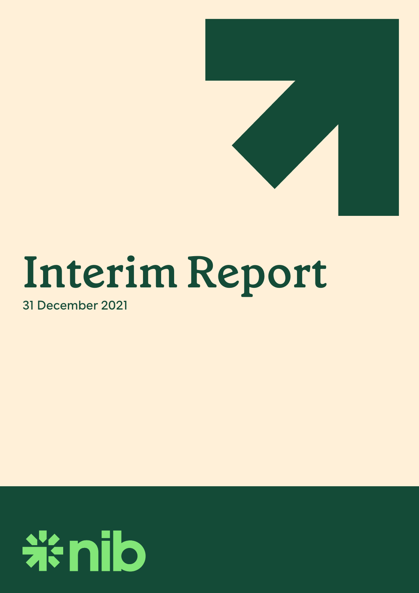

# **Interim Report**

31 December 2021

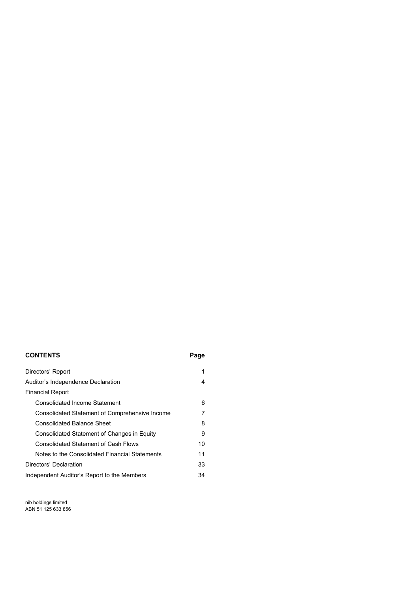### **CONTENTS Page**

| Directors' Report                              | 1  |
|------------------------------------------------|----|
| Auditor's Independence Declaration             | 4  |
| <b>Financial Report</b>                        |    |
| Consolidated Income Statement                  | 6  |
| Consolidated Statement of Comprehensive Income |    |
| <b>Consolidated Balance Sheet</b>              | 8  |
| Consolidated Statement of Changes in Equity    | 9  |
| <b>Consolidated Statement of Cash Flows</b>    | 10 |
| Notes to the Consolidated Financial Statements | 11 |
| Directors' Declaration                         | 33 |
| Independent Auditor's Report to the Members    | 34 |

nib holdings limited ABN 51 125 633 856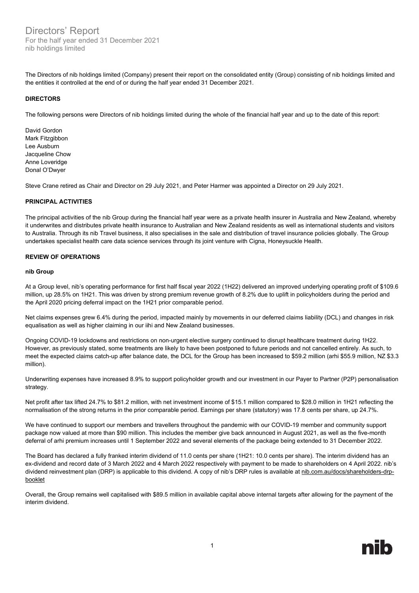Directors' Report For the half year ended 31 December 2021 nib holdings limited

The Directors of nib holdings limited (Company) present their report on the consolidated entity (Group) consisting of nib holdings limited and the entities it controlled at the end of or during the half year ended 31 December 2021.

#### **DIRECTORS**

The following persons were Directors of nib holdings limited during the whole of the financial half year and up to the date of this report:

David Gordon Mark Fitzgibbon Lee Ausburn Jacqueline Chow Anne Loveridge Donal O'Dwyer

Steve Crane retired as Chair and Director on 29 July 2021, and Peter Harmer was appointed a Director on 29 July 2021.

#### **PRINCIPAL ACTIVITIES**

The principal activities of the nib Group during the financial half year were as a private health insurer in Australia and New Zealand, whereby it underwrites and distributes private health insurance to Australian and New Zealand residents as well as international students and visitors to Australia. Through its nib Travel business, it also specialises in the sale and distribution of travel insurance policies globally. The Group undertakes specialist health care data science services through its joint venture with Cigna, Honeysuckle Health.

#### **REVIEW OF OPERATIONS**

#### **nib Group**

At a Group level, nib's operating performance for first half fiscal year 2022 (1H22) delivered an improved underlying operating profit of \$109.6 million, up 28.5% on 1H21. This was driven by strong premium revenue growth of 8.2% due to uplift in policyholders during the period and the April 2020 pricing deferral impact on the 1H21 prior comparable period.

Net claims expenses grew 6.4% during the period, impacted mainly by movements in our deferred claims liability (DCL) and changes in risk equalisation as well as higher claiming in our iihi and New Zealand businesses.

Ongoing COVID-19 lockdowns and restrictions on non-urgent elective surgery continued to disrupt healthcare treatment during 1H22. However, as previously stated, some treatments are likely to have been postponed to future periods and not cancelled entirely. As such, to meet the expected claims catch-up after balance date, the DCL for the Group has been increased to \$59.2 million (arhi \$55.9 million, NZ \$3.3 million).

Underwriting expenses have increased 8.9% to support policyholder growth and our investment in our Payer to Partner (P2P) personalisation strategy.

Net profit after tax lifted 24.7% to \$81.2 million, with net investment income of \$15.1 million compared to \$28.0 million in 1H21 reflecting the normalisation of the strong returns in the prior comparable period. Earnings per share (statutory) was 17.8 cents per share, up 24.7%.

We have continued to support our members and travellers throughout the pandemic with our COVID-19 member and community support package now valued at more than \$90 million. This includes the member give back announced in August 2021, as well as the five-month deferral of arhi premium increases until 1 September 2022 and several elements of the package being extended to 31 December 2022.

The Board has declared a fully franked interim dividend of 11.0 cents per share (1H21: 10.0 cents per share). The interim dividend has an ex-dividend and record date of 3 March 2022 and 4 March 2022 respectively with payment to be made to shareholders on 4 April 2022. nib's dividend reinvestment plan (DRP) is applicable to this dividend. A copy of nib's DRP rules is available a[t nib.com.au/docs/shareholders-drp](https://www.nib.com.au/docs/shareholders-drp-booklet)[booklet](https://www.nib.com.au/docs/shareholders-drp-booklet)

Overall, the Group remains well capitalised with \$89.5 million in available capital above internal targets after allowing for the payment of the interim dividend.

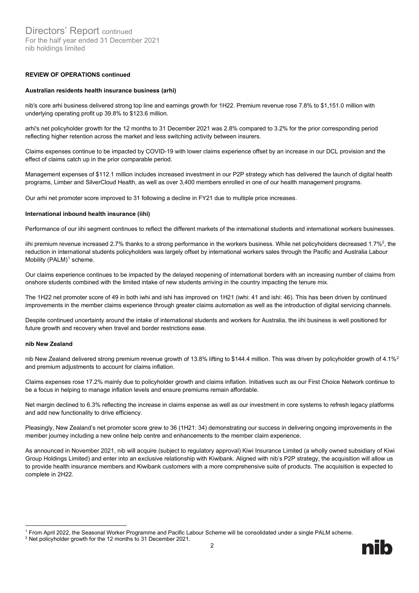#### **REVIEW OF OPERATIONS continued**

#### **Australian residents health insurance business (arhi)**

nib's core arhi business delivered strong top line and earnings growth for 1H22. Premium revenue rose 7.8% to \$1,151.0 million with underlying operating profit up 39.8% to \$123.6 million.

arhi's net policyholder growth for the 12 months to 31 December 2021 was 2.8% compared to 3.2% for the prior corresponding period reflecting higher retention across the market and less switching activity between insurers.

Claims expenses continue to be impacted by COVID-19 with lower claims experience offset by an increase in our DCL provision and the effect of claims catch up in the prior comparable period.

Management expenses of \$112.1 million includes increased investment in our P2P strategy which has delivered the launch of digital health programs, Limber and SilverCloud Health, as well as over 3,400 members enrolled in one of our health management programs.

Our arhi net promoter score improved to 31 following a decline in FY21 due to multiple price increases.

#### **International inbound health insurance (iihi)**

Performance of our iihi segment continues to reflect the different markets of the international students and international workers businesses.

iihi premium revenue increased 2.7% thanks to a strong performance in the workers business. While net policyholders decreased 1.7%<sup>2</sup>, the reduction in international students policyholders was largely offset by international workers sales through the Pacific and Australia Labour Mobility  $(PALM)^1$  scheme.

Our claims experience continues to be impacted by the delayed reopening of international borders with an increasing number of claims from onshore students combined with the limited intake of new students arriving in the country impacting the tenure mix.

The 1H22 net promoter score of 49 in both iwhi and ishi has improved on 1H21 (iwhi: 41 and ishi: 46). This has been driven by continued improvements in the member claims experience through greater claims automation as well as the introduction of digital servicing channels.

Despite continued uncertainty around the intake of international students and workers for Australia, the iihi business is well positioned for future growth and recovery when travel and border restrictions ease.

#### **nib New Zealand**

nib New Zealand delivered strong premium revenue growth of 13.8% lifting to \$144.4 million. This was driven by policyholder growth of 4.1%<sup>[2](#page-7-1)</sup> and premium adjustments to account for claims inflation.

Claims expenses rose 17.2% mainly due to policyholder growth and claims inflation. Initiatives such as our First Choice Network continue to be a focus in helping to manage inflation levels and ensure premiums remain affordable.

Net margin declined to 6.3% reflecting the increase in claims expense as well as our investment in core systems to refresh legacy platforms and add new functionality to drive efficiency.

Pleasingly, New Zealand's net promoter score grew to 36 (1H21: 34) demonstrating our success in delivering ongoing improvements in the member journey including a new online help centre and enhancements to the member claim experience.

As announced in November 2021, nib will acquire (subject to regulatory approval) Kiwi Insurance Limited (a wholly owned subsidiary of Kiwi Group Holdings Limited) and enter into an exclusive relationship with Kiwibank. Aligned with nib's P2P strategy, the acquisition will allow us to provide health insurance members and Kiwibank customers with a more comprehensive suite of products. The acquisition is expected to complete in 2H22.

<span id="page-7-0"></span><sup>1</sup> From April 2022, the Seasonal Worker Programme and Pacific Labour Scheme will be consolidated under a single PALM scheme.

<span id="page-7-1"></span><sup>&</sup>lt;sup>2</sup> Net policyholder growth for the 12 months to 31 December 2021.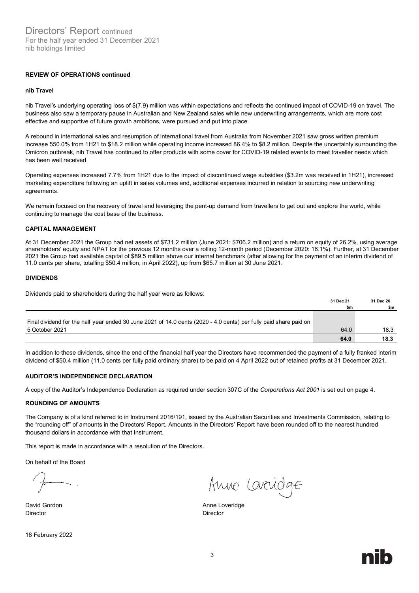#### **REVIEW OF OPERATIONS continued**

#### **nib Travel**

nib Travel's underlying operating loss of \$(7.9) million was within expectations and reflects the continued impact of COVID-19 on travel. The business also saw a temporary pause in Australian and New Zealand sales while new underwriting arrangements, which are more cost effective and supportive of future growth ambitions, were pursued and put into place.

A rebound in international sales and resumption of international travel from Australia from November 2021 saw gross written premium increase 550.0% from 1H21 to \$18.2 million while operating income increased 86.4% to \$8.2 million. Despite the uncertainty surrounding the Omicron outbreak, nib Travel has continued to offer products with some cover for COVID-19 related events to meet traveller needs which has been well received.

Operating expenses increased 7.7% from 1H21 due to the impact of discontinued wage subsidies (\$3.2m was received in 1H21), increased marketing expenditure following an uplift in sales volumes and, additional expenses incurred in relation to sourcing new underwriting agreements.

We remain focused on the recovery of travel and leveraging the pent-up demand from travellers to get out and explore the world, while continuing to manage the cost base of the business.

#### **CAPITAL MANAGEMENT**

At 31 December 2021 the Group had net assets of \$731.2 million (June 2021: \$706.2 million) and a return on equity of 26.2%, using average shareholders' equity and NPAT for the previous 12 months over a rolling 12-month period (December 2020: 16.1%). Further, at 31 December 2021 the Group had available capital of \$89.5 million above our internal benchmark (after allowing for the payment of an interim dividend of 11.0 cents per share, totalling \$50.4 million, in April 2022), up from \$65.7 million at 30 June 2021.

#### **DIVIDENDS**

Dividends paid to shareholders during the half year were as follows:

|                                                                                                                   | 31 Dec 21 | 31 Dec 20 |
|-------------------------------------------------------------------------------------------------------------------|-----------|-----------|
|                                                                                                                   | \$m       | \$m       |
|                                                                                                                   |           |           |
| Final dividend for the half year ended 30 June 2021 of 14.0 cents (2020 - 4.0 cents) per fully paid share paid on |           |           |
| 5 October 2021                                                                                                    | 64.0      | 18.3      |
|                                                                                                                   | 64.0      | 18.3      |

In addition to these dividends, since the end of the financial half year the Directors have recommended the payment of a fully franked interim dividend of \$50.4 million (11.0 cents per fully paid ordinary share) to be paid on 4 April 2022 out of retained profits at 31 December 2021.

#### **AUDITOR'S INDEPENDENCE DECLARATION**

A copy of the Auditor's Independence Declaration as required under section 307C of the *Corporations Act 2001* is set out on page 4.

#### **ROUNDING OF AMOUNTS**

The Company is of a kind referred to in Instrument 2016/191, issued by the Australian Securities and Investments Commission, relating to the "rounding off" of amounts in the Directors' Report. Amounts in the Directors' Report have been rounded off to the nearest hundred thousand dollars in accordance with that Instrument.

This report is made in accordance with a resolution of the Directors.

On behalf of the Board

Director Director

Anne Laridge

David Gordon **Anne Loveridge Anne Loveridge** 

18 February 2022

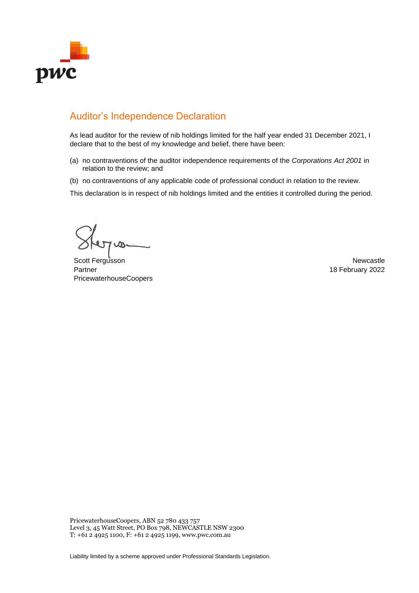

# Auditor's Independence Declaration

As lead auditor for the review of nib holdings limited for the half year ended 31 December 2021, I declare that to the best of my knowledge and belief, there have been:

- (a) no contraventions of the auditor independence requirements of the *Corporations Act 2001* in relation to the review; and
- (b) no contraventions of any applicable code of professional conduct in relation to the review.

This declaration is in respect of nib holdings limited and the entities it controlled during the period.

 $700 -$ 

Scott Fergusson Newcastle Partner PricewaterhouseCoopers

18 February 2022

PricewaterhouseCoopers, ABN 52 780 433 757 Level 3, 45 Watt Street, PO Box 798, NEWCASTLE NSW 2300 T: +61 2 4925 1100, F: +61 2 4925 1199, www.pwc.com.au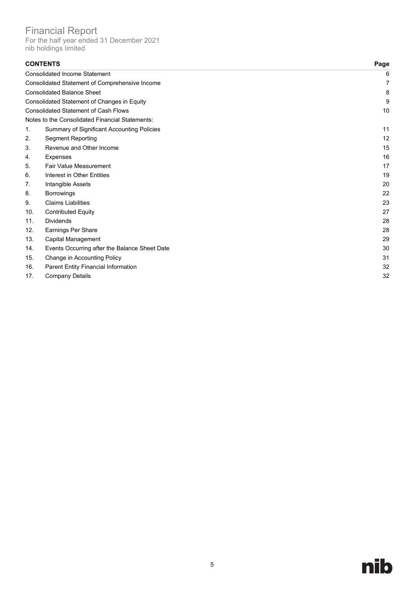Financial Report

For the half year ended 31 December 2021 nib holdings limited

| <b>CONTENTS</b> |                                                   | Page |
|-----------------|---------------------------------------------------|------|
|                 | <b>Consolidated Income Statement</b>              | 6    |
|                 | Consolidated Statement of Comprehensive Income    | 7    |
|                 | <b>Consolidated Balance Sheet</b>                 | 8    |
|                 | Consolidated Statement of Changes in Equity       | 9    |
|                 | <b>Consolidated Statement of Cash Flows</b>       | 10   |
|                 | Notes to the Consolidated Financial Statements:   |      |
| 1.              | <b>Summary of Significant Accounting Policies</b> | 11   |
| 2.              | <b>Segment Reporting</b>                          | 12   |
| 3.              | Revenue and Other Income                          | 15   |
| 4.              | <b>Expenses</b>                                   | 16   |
| 5.              | <b>Fair Value Measurement</b>                     | 17   |
| 6.              | Interest in Other Entities                        | 19   |
| 7.              | Intangible Assets                                 | 20   |
| 8.              | <b>Borrowings</b>                                 | 22   |
| 9.              | <b>Claims Liabilities</b>                         | 23   |
| 10.             | <b>Contributed Equity</b>                         | 27   |
| 11.             | <b>Dividends</b>                                  | 28   |
| 12.             | Earnings Per Share                                | 28   |
| 13.             | Capital Management                                | 29   |
| 14.             | Events Occurring after the Balance Sheet Date     | 30   |
| 15.             | Change in Accounting Policy                       | 31   |
| 16.             | Parent Entity Financial Information               | 32   |
| 17.             | <b>Company Details</b>                            | 32   |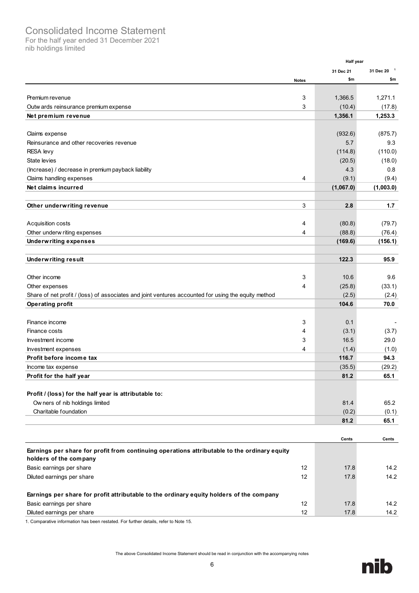# Consolidated Income Statement

For the half year ended 31 December 2021 nib holdings limited

|                                                                                                                                |              | <b>Half year</b> |                        |
|--------------------------------------------------------------------------------------------------------------------------------|--------------|------------------|------------------------|
|                                                                                                                                |              | 31 Dec 21        | 31 Dec 20 <sup>1</sup> |
|                                                                                                                                | <b>Notes</b> | \$m              | \$m                    |
|                                                                                                                                |              |                  |                        |
| Premium revenue                                                                                                                | 3            | 1,366.5          | 1,271.1                |
| Outw ards reinsurance premium expense                                                                                          | 3            | (10.4)           | (17.8)                 |
| Net premium revenue                                                                                                            |              | 1,356.1          | 1,253.3                |
|                                                                                                                                |              |                  |                        |
| Claims expense                                                                                                                 |              | (932.6)          | (875.7)                |
| Reinsurance and other recoveries revenue                                                                                       |              | 5.7              | 9.3                    |
| <b>RESA</b> levy                                                                                                               |              | (114.8)          | (110.0)                |
| State levies                                                                                                                   |              | (20.5)           | (18.0)                 |
| (Increase) / decrease in premium payback liability                                                                             |              | 4.3              | 0.8                    |
| Claims handling expenses                                                                                                       | 4            | (9.1)            | (9.4)                  |
| Net claims incurred                                                                                                            |              | (1,067.0)        | (1,003.0)              |
|                                                                                                                                |              |                  |                        |
| Other underwriting revenue                                                                                                     | 3            | 2.8              | 1.7                    |
|                                                                                                                                |              |                  |                        |
| Acquisition costs                                                                                                              | 4            | (80.8)           | (79.7)                 |
| Other underw riting expenses                                                                                                   | 4            | (88.8)           | (76.4)                 |
| <b>Underwriting expenses</b>                                                                                                   |              | (169.6)          | (156.1)                |
|                                                                                                                                |              | 122.3            |                        |
| <b>Underwriting result</b>                                                                                                     |              |                  | 95.9                   |
| Other income                                                                                                                   | 3            | 10.6             | 9.6                    |
|                                                                                                                                | 4            | (25.8)           | (33.1)                 |
| Other expenses                                                                                                                 |              |                  |                        |
| Share of net profit / (loss) of associates and joint ventures accounted for using the equity method<br><b>Operating profit</b> |              | (2.5)<br>104.6   | (2.4)<br>70.0          |
|                                                                                                                                |              |                  |                        |
| Finance income                                                                                                                 | 3            | 0.1              |                        |
| Finance costs                                                                                                                  | 4            | (3.1)            | (3.7)                  |
| Investment income                                                                                                              | 3            | 16.5             | 29.0                   |
| Investment expenses                                                                                                            | 4            | (1.4)            | (1.0)                  |
| Profit before income tax                                                                                                       |              | 116.7            | 94.3                   |
| Income tax expense                                                                                                             |              | (35.5)           | (29.2)                 |
| Profit for the half year                                                                                                       |              | 81.2             | 65.1                   |
|                                                                                                                                |              |                  |                        |
| Profit / (loss) for the half year is attributable to:                                                                          |              |                  |                        |
| Ow ners of nib holdings limited                                                                                                |              | 81.4             | 65.2                   |
| Charitable foundation                                                                                                          |              | (0.2)            | (0.1)                  |
|                                                                                                                                |              | 81.2             | 65.1                   |
|                                                                                                                                |              |                  |                        |
|                                                                                                                                |              | Cents            | Cents                  |
|                                                                                                                                |              |                  |                        |
| Earnings per share for profit from continuing operations attributable to the ordinary equity<br>holders of the company         |              |                  |                        |
| Basic earnings per share                                                                                                       | 12           | 17.8             | 14.2                   |
| Diluted earnings per share                                                                                                     | 12           | 17.8             | 14.2                   |
|                                                                                                                                |              |                  |                        |
| Earnings per share for profit attributable to the ordinary equity holders of the company                                       |              |                  |                        |
| Basic earnings per share                                                                                                       | 12           | 17.8             | 14.2                   |
| Diluted earnings per share                                                                                                     | 12           | 17.8             | 14.2                   |
|                                                                                                                                |              |                  |                        |

<span id="page-11-0"></span>1. Comparative information has been restated. For further details, refer to Note 15.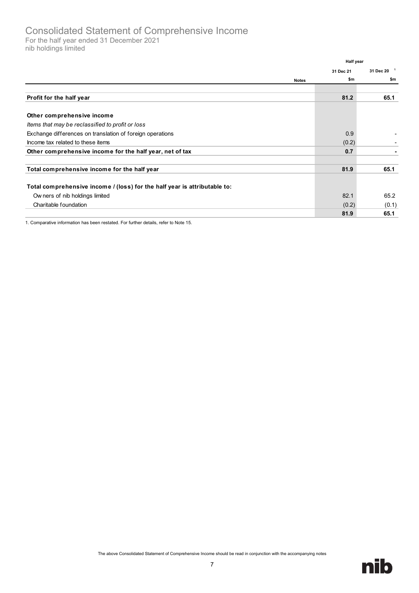For the half year ended 31 December 2021 nib holdings limited

<span id="page-12-0"></span>

|                                                                           | Half year |                        |
|---------------------------------------------------------------------------|-----------|------------------------|
|                                                                           | 31 Dec 21 | 31 Dec 20 <sup>1</sup> |
| <b>Notes</b>                                                              | \$m       | \$m                    |
|                                                                           |           |                        |
| Profit for the half year                                                  | 81.2      | 65.1                   |
|                                                                           |           |                        |
| Other comprehensive income                                                |           |                        |
| Items that may be reclassified to profit or loss                          |           |                        |
| Exchange differences on translation of foreign operations                 | 0.9       |                        |
| Income tax related to these items                                         | (0.2)     |                        |
| Other comprehensive income for the half year, net of tax                  | 0.7       |                        |
| Total comprehensive income for the half year                              | 81.9      | 65.1                   |
|                                                                           |           |                        |
| Total comprehensive income / (loss) for the half year is attributable to: |           |                        |
| Ow ners of nib holdings limited                                           | 82.1      | 65.2                   |
| Charitable foundation                                                     | (0.2)     | (0.1)                  |
|                                                                           | 81.9      | 65.1                   |

1. Comparative information has been restated. For further details, refer to Note 15.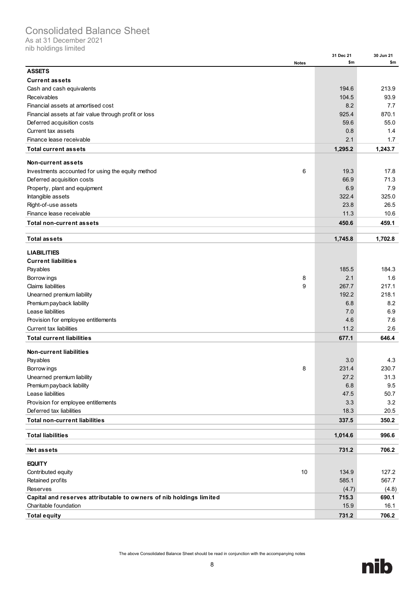# Consolidated Balance Sheet

As at 31 December 2021

nib holdings limited

|                                                                     |              | 31 Dec 21 | 30 Jun 21 |
|---------------------------------------------------------------------|--------------|-----------|-----------|
|                                                                     | <b>Notes</b> | \$m       | \$m       |
| <b>ASSETS</b>                                                       |              |           |           |
| <b>Current assets</b>                                               |              |           |           |
| Cash and cash equivalents                                           |              | 194.6     | 213.9     |
| Receivables                                                         |              | 104.5     | 93.9      |
| Financial assets at amortised cost                                  |              | 8.2       | 7.7       |
| Financial assets at fair value through profit or loss               |              | 925.4     | 870.1     |
| Deferred acquisition costs                                          |              | 59.6      | 55.0      |
| Current tax assets                                                  |              | 0.8       | 1.4       |
| Finance lease receivable                                            |              | 2.1       | 1.7       |
| <b>Total current assets</b>                                         |              | 1,295.2   | 1,243.7   |
| <b>Non-current assets</b>                                           |              |           |           |
| Investments accounted for using the equity method                   | 6            | 19.3      | 17.8      |
| Deferred acquisition costs                                          |              | 66.9      | 71.3      |
|                                                                     |              | 6.9       | 7.9       |
| Property, plant and equipment<br>Intangible assets                  |              | 322.4     | 325.0     |
|                                                                     |              | 23.8      | 26.5      |
| Right-of-use assets<br>Finance lease receivable                     |              | 11.3      | 10.6      |
|                                                                     |              |           |           |
| <b>Total non-current assets</b>                                     |              | 450.6     | 459.1     |
| <b>Total assets</b>                                                 |              | 1,745.8   | 1,702.8   |
| <b>LIABILITIES</b>                                                  |              |           |           |
| <b>Current liabilities</b>                                          |              |           |           |
|                                                                     |              |           | 184.3     |
| Payables                                                            |              | 185.5     |           |
| Borrow ings                                                         | 8            | 2.1       | 1.6       |
| <b>Claims liabilities</b>                                           | 9            | 267.7     | 217.1     |
| Unearned premium liability                                          |              | 192.2     | 218.1     |
| Premium payback liability                                           |              | 6.8       | 8.2       |
| Lease liabilities                                                   |              | 7.0       | 6.9       |
| Provision for employee entitlements                                 |              | 4.6       | 7.6       |
| <b>Current tax liabilities</b>                                      |              | 11.2      | 2.6       |
| <b>Total current liabilities</b>                                    |              | 677.1     | 646.4     |
| <b>Non-current liabilities</b>                                      |              |           |           |
| Payables                                                            |              | 3.0       | 4.3       |
| Borrow ings                                                         | 8            | 231.4     | 230.7     |
| Unearned premium liability                                          |              | 27.2      | 31.3      |
| Premium payback liability                                           |              | 6.8       | 9.5       |
| Lease liabilities                                                   |              | 47.5      | 50.7      |
| Provision for employee entitlements                                 |              | 3.3       | 3.2       |
| Deferred tax liabilities                                            |              | 18.3      | 20.5      |
| <b>Total non-current liabilities</b>                                |              | 337.5     | 350.2     |
| <b>Total liabilities</b>                                            |              | 1,014.6   | 996.6     |
|                                                                     |              |           |           |
| Net assets                                                          |              | 731.2     | 706.2     |
| <b>EQUITY</b>                                                       |              |           |           |
| Contributed equity                                                  | 10           | 134.9     | 127.2     |
| Retained profits                                                    |              | 585.1     | 567.7     |
| <b>Reserves</b>                                                     |              | (4.7)     | (4.8)     |
| Capital and reserves attributable to owners of nib holdings limited |              | 715.3     | 690.1     |
| Charitable foundation                                               |              | 15.9      | 16.1      |
| <b>Total equity</b>                                                 |              | 731.2     | 706.2     |

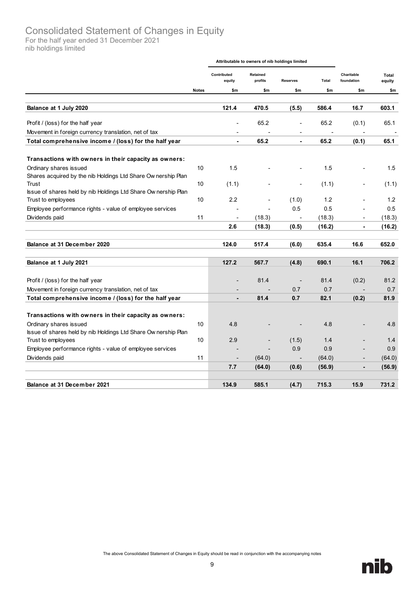# Consolidated Statement of Changes in Equity

For the half year ended 31 December 2021 nib holdings limited

<span id="page-14-0"></span>

|                                                                                        |                 | Attributable to owners of nib holdings limited |                          |                 |                          |                          |                 |
|----------------------------------------------------------------------------------------|-----------------|------------------------------------------------|--------------------------|-----------------|--------------------------|--------------------------|-----------------|
|                                                                                        |                 | Contributed<br>equity                          | Retained<br>profits      | <b>Reserves</b> | Total                    | Charitable<br>foundation | Total<br>equity |
|                                                                                        | <b>Notes</b>    | \$m                                            | \$m                      | \$m             | \$m                      | \$m                      | \$m             |
| Balance at 1 July 2020                                                                 |                 | 121.4                                          | 470.5                    | (5.5)           | 586.4                    | 16.7                     | 603.1           |
| Profit / (loss) for the half year                                                      |                 | $\blacksquare$                                 | 65.2                     | ÷,              | 65.2                     | (0.1)                    | 65.1            |
| Movement in foreign currency translation, net of tax                                   |                 |                                                | $\overline{a}$           | ٠               | $\overline{\phantom{a}}$ |                          |                 |
| Total comprehensive income / (loss) for the half year                                  |                 |                                                | 65.2                     |                 | 65.2                     | (0.1)                    | 65.1            |
| Transactions with owners in their capacity as owners:                                  |                 |                                                |                          |                 |                          |                          |                 |
| Ordinary shares issued<br>Shares acquired by the nib Holdings Ltd Share Ownership Plan | 10              | 1.5                                            |                          |                 | 1.5                      |                          | 1.5             |
| Trust<br>Issue of shares held by nib Holdings Ltd Share Ownership Plan                 | 10              | (1.1)                                          |                          | ä,              | (1.1)                    |                          | (1.1)           |
| Trust to employees                                                                     | 10              | 2.2                                            |                          | (1.0)           | 1.2                      |                          | 1.2             |
| Employee performance rights - value of employee services                               |                 |                                                |                          | 0.5             | 0.5                      |                          | 0.5             |
| Dividends paid                                                                         | 11              | ÷,                                             | (18.3)                   |                 | (18.3)                   | $\overline{\phantom{a}}$ | (18.3)          |
|                                                                                        |                 | 2.6                                            | (18.3)                   | (0.5)           | (16.2)                   | $\blacksquare$           | (16.2)          |
| Balance at 31 December 2020                                                            |                 | 124.0                                          | 517.4                    | (6.0)           | 635.4                    | 16.6                     | 652.0           |
|                                                                                        |                 |                                                |                          |                 |                          |                          |                 |
| Balance at 1 July 2021                                                                 |                 | 127.2                                          | 567.7                    | (4.8)           | 690.1                    | 16.1                     | 706.2           |
| Profit / (loss) for the half year                                                      |                 |                                                | 81.4                     |                 | 81.4                     | (0.2)                    | 81.2            |
| Movement in foreign currency translation, net of tax                                   |                 |                                                |                          | 0.7             | 0.7                      |                          | 0.7             |
| Total comprehensive income / (loss) for the half year                                  |                 | $\blacksquare$                                 | 81.4                     | 0.7             | 82.1                     | (0.2)                    | 81.9            |
| Transactions with owners in their capacity as owners:                                  |                 |                                                |                          |                 |                          |                          |                 |
| Ordinary shares issued                                                                 | 10 <sup>1</sup> | 4.8                                            |                          |                 | 4.8                      |                          | 4.8             |
| Issue of shares held by nib Holdings Ltd Share Ownership Plan                          |                 |                                                |                          |                 |                          |                          |                 |
| Trust to employees                                                                     | 10              | 2.9                                            |                          | (1.5)           | 1.4                      |                          | 1.4             |
| Employee performance rights - value of employee services                               |                 |                                                | $\overline{\phantom{a}}$ | 0.9             | 0.9                      |                          | 0.9             |
| Dividends paid                                                                         | 11              | $\overline{a}$                                 | (64.0)                   |                 | (64.0)                   | $\overline{a}$           | (64.0)          |
|                                                                                        |                 | 7.7                                            | (64.0)                   | (0.6)           | (56.9)                   | ۰                        | (56.9)          |
| Balance at 31 December 2021                                                            |                 | 134.9                                          | 585.1                    | (4.7)           | 715.3                    | 15.9                     | 731.2           |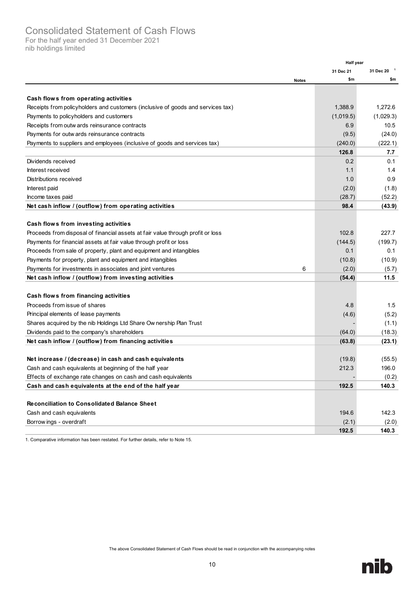# Consolidated Statement of Cash Flows

For the half year ended 31 December 2021 nib holdings limited

<span id="page-15-0"></span>

|                                                                                 | <b>Half year</b> |                        |
|---------------------------------------------------------------------------------|------------------|------------------------|
|                                                                                 | 31 Dec 21        | 31 Dec 20 <sup>1</sup> |
| <b>Notes</b>                                                                    | \$m              | \$m                    |
|                                                                                 |                  |                        |
| Cash flows from operating activities                                            |                  |                        |
| Receipts from policyholders and customers (inclusive of goods and services tax) | 1,388.9          | 1,272.6                |
| Payments to policyholders and customers                                         | (1,019.5)        | (1,029.3)              |
| Receipts from outw ards reinsurance contracts                                   | 6.9              | 10.5                   |
| Payments for outw ards reinsurance contracts                                    | (9.5)            | (24.0)                 |
| Payments to suppliers and employees (inclusive of goods and services tax)       | (240.0)          | (222.1)                |
|                                                                                 | 126.8            | 7.7                    |
| Dividends received                                                              | 0.2              | 0.1                    |
| Interest received                                                               | 1.1              | 1.4                    |
| Distributions received                                                          | 1.0              | 0.9                    |
| Interest paid                                                                   | (2.0)            | (1.8)                  |
| Income taxes paid                                                               | (28.7)           | (52.2)                 |
| Net cash inflow / (outflow) from operating activities                           | 98.4             | (43.9)                 |
|                                                                                 |                  |                        |
| Cash flows from investing activities                                            |                  |                        |
| Proceeds from disposal of financial assets at fair value through profit or loss | 102.8            | 227.7                  |
| Payments for financial assets at fair value through profit or loss              | (144.5)          | (199.7)                |
| Proceeds from sale of property, plant and equipment and intangibles             | 0.1              | 0.1                    |
| Payments for property, plant and equipment and intangibles                      | (10.8)           | (10.9)                 |
| 6<br>Payments for investments in associates and joint ventures                  | (2.0)            | (5.7)                  |
| Net cash inflow / (outflow) from investing activities                           | (54.4)           | 11.5                   |
|                                                                                 |                  |                        |
| Cash flows from financing activities                                            |                  |                        |
| Proceeds from issue of shares                                                   | 4.8              | 1.5                    |
| Principal elements of lease payments                                            | (4.6)            | (5.2)                  |
| Shares acquired by the nib Holdings Ltd Share Ow nership Plan Trust             |                  | (1.1)                  |
| Dividends paid to the company's shareholders                                    | (64.0)           | (18.3)                 |
| Net cash inflow / (outflow) from financing activities                           | (63.8)           | (23.1)                 |
|                                                                                 |                  |                        |
| Net increase / (decrease) in cash and cash equivalents                          | (19.8)           | (55.5)                 |
| Cash and cash equivalents at beginning of the half year                         | 212.3            | 196.0                  |
| Effects of exchange rate changes on cash and cash equivalents                   | ٠                | (0.2)                  |
| Cash and cash equivalents at the end of the half year                           | 192.5            | 140.3                  |
|                                                                                 |                  |                        |
| <b>Reconciliation to Consolidated Balance Sheet</b>                             |                  |                        |
| Cash and cash equivalents                                                       | 194.6            | 142.3                  |
| Borrow ings - overdraft                                                         | (2.1)            | (2.0)                  |
|                                                                                 | 192.5            | 140.3                  |

1. Comparative information has been restated. For further details, refer to Note 15.

The above Consolidated Statement of Cash Flows should be read in conjunction with the accompanying notes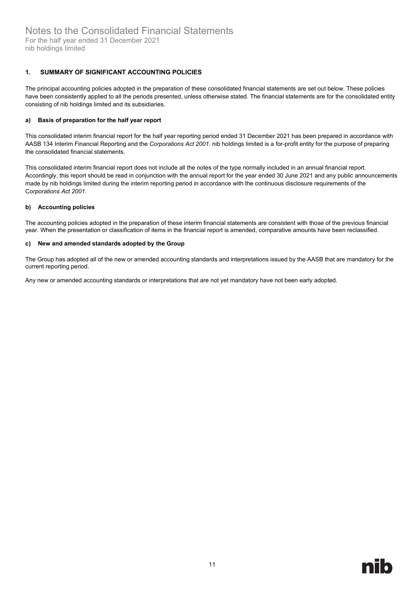#### <span id="page-16-0"></span>**1. SUMMARY OF SIGNIFICANT ACCOUNTING POLICIES**

The principal accounting policies adopted in the preparation of these consolidated financial statements are set out below. These policies have been consistently applied to all the periods presented, unless otherwise stated. The financial statements are for the consolidated entity consisting of nib holdings limited and its subsidiaries.

#### **a) Basis of preparation for the half year report**

This consolidated interim financial report for the half year reporting period ended 31 December 2021 has been prepared in accordance with AASB 134 Interim Financial Reporting and the *Corporations Act 2001*. nib holdings limited is a for-profit entity for the purpose of preparing the consolidated financial statements.

This consolidated interim financial report does not include all the notes of the type normally included in an annual financial report. Accordingly, this report should be read in conjunction with the annual report for the year ended 30 June 2021 and any public announcements made by nib holdings limited during the interim reporting period in accordance with the continuous disclosure requirements of the C*orporations Act 2001*.

#### **b) Accounting policies**

The accounting policies adopted in the preparation of these interim financial statements are consistent with those of the previous financial year. When the presentation or classification of items in the financial report is amended, comparative amounts have been reclassified.

#### **c) New and amended standards adopted by the Group**

The Group has adopted all of the new or amended accounting standards and interpretations issued by the AASB that are mandatory for the current reporting period.

Any new or amended accounting standards or interpretations that are not yet mandatory have not been early adopted.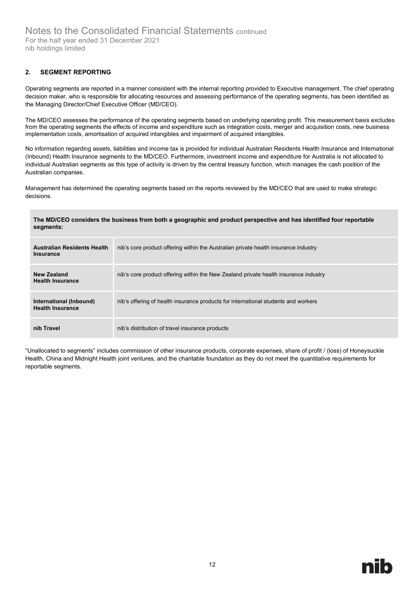#### <span id="page-17-0"></span>**2. SEGMENT REPORTING**

Operating segments are reported in a manner consistent with the internal reporting provided to Executive management. The chief operating decision maker, who is responsible for allocating resources and assessing performance of the operating segments, has been identified as the Managing Director/Chief Executive Officer (MD/CEO).

The MD/CEO assesses the performance of the operating segments based on underlying operating profit. This measurement basis excludes from the operating segments the effects of income and expenditure such as integration costs, merger and acquisition costs, new business implementation costs, amortisation of acquired intangibles and impairment of acquired intangibles.

No information regarding assets, liabilities and income tax is provided for individual Australian Residents Health Insurance and International (Inbound) Health Insurance segments to the MD/CEO. Furthermore, investment income and expenditure for Australia is not allocated to individual Australian segments as this type of activity is driven by the central treasury function, which manages the cash position of the Australian companies.

Management has determined the operating segments based on the reports reviewed by the MD/CEO that are used to make strategic decisions.

#### **The MD/CEO considers the business from both a geographic and product perspective and has identified four reportable segments:**

| <b>Australian Residents Health</b><br>Insurance    | nib's core product offering within the Australian private health insurance industry  |
|----------------------------------------------------|--------------------------------------------------------------------------------------|
| <b>New Zealand</b><br><b>Health Insurance</b>      | nib's core product offering within the New Zealand private health insurance industry |
| International (Inbound)<br><b>Health Insurance</b> | nib's offering of health insurance products for international students and workers   |
| nib Travel                                         | nib's distribution of travel insurance products                                      |

"Unallocated to segments" includes commission of other insurance products, corporate expenses, share of profit / (loss) of Honeysuckle Health, China and Midnight Health joint ventures, and the charitable foundation as they do not meet the quantitative requirements for reportable segments.

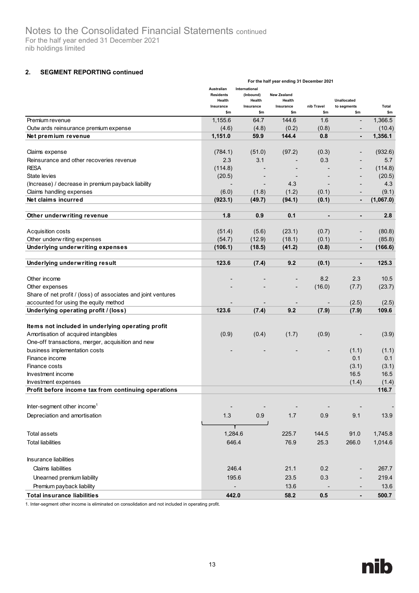#### **2. SEGMENT REPORTING continued**

|                                                               | For the half year ending 31 December 2021                    |                                                          |                                                  |                   |                                   |              |  |
|---------------------------------------------------------------|--------------------------------------------------------------|----------------------------------------------------------|--------------------------------------------------|-------------------|-----------------------------------|--------------|--|
|                                                               | Australian<br><b>Residents</b><br>Health<br>Insurance<br>\$m | International<br>(Inbound)<br>Health<br>Insurance<br>\$m | <b>New Zealand</b><br>Health<br>Insurance<br>\$m | nib Travel<br>\$m | Unallocated<br>to segments<br>\$m | Total<br>\$m |  |
| Premium revenue                                               | 1,155.6                                                      | 64.7                                                     | 144.6                                            | 1.6               |                                   | 1,366.5      |  |
| Outw ards reinsurance premium expense                         | (4.6)                                                        | (4.8)                                                    | (0.2)                                            | (0.8)             | $\overline{\phantom{a}}$          | (10.4)       |  |
| Net premium revenue                                           | 1,151.0                                                      | 59.9                                                     | 144.4                                            | 0.8               | $\blacksquare$                    | 1,356.1      |  |
|                                                               |                                                              |                                                          |                                                  |                   |                                   |              |  |
| Claims expense                                                | (784.1)                                                      | (51.0)                                                   | (97.2)                                           | (0.3)             |                                   | (932.6)      |  |
| Reinsurance and other recoveries revenue                      | 2.3                                                          | 3.1                                                      |                                                  | 0.3               |                                   | 5.7          |  |
| <b>RESA</b>                                                   | (114.8)                                                      |                                                          |                                                  |                   |                                   | (114.8)      |  |
| State levies                                                  | (20.5)                                                       |                                                          |                                                  |                   |                                   | (20.5)       |  |
| (Increase) / decrease in premium payback liability            |                                                              | $\overline{\phantom{a}}$                                 | 4.3                                              |                   |                                   | 4.3          |  |
| Claims handling expenses                                      | (6.0)                                                        | (1.8)                                                    | (1.2)                                            | (0.1)             |                                   | (9.1)        |  |
| Net claims incurred                                           | (923.1)                                                      | (49.7)                                                   | (94.1)                                           | (0.1)             | $\blacksquare$                    | (1,067.0)    |  |
| Other underwriting revenue                                    | 1.8                                                          | 0.9                                                      | 0.1                                              | $\blacksquare$    | $\blacksquare$                    | 2.8          |  |
|                                                               |                                                              |                                                          |                                                  |                   |                                   |              |  |
| Acquisition costs<br>Other underw riting expenses             | (51.4)                                                       | (5.6)                                                    | (23.1)                                           | (0.7)             |                                   | (80.8)       |  |
|                                                               | (54.7)                                                       | (12.9)                                                   | (18.1)                                           | (0.1)             |                                   | (85.8)       |  |
| <b>Underlying underwriting expenses</b>                       | (106.1)                                                      | (18.5)                                                   | (41.2)                                           | (0.8)             | $\blacksquare$                    | (166.6)      |  |
| Underlying underwriting result                                | 123.6                                                        | (7.4)                                                    | 9.2                                              | (0.1)             |                                   | 125.3        |  |
| Other income                                                  |                                                              |                                                          |                                                  | 8.2               | 2.3                               | 10.5         |  |
| Other expenses                                                |                                                              |                                                          |                                                  | (16.0)            | (7.7)                             | (23.7)       |  |
| Share of net profit / (loss) of associates and joint ventures |                                                              |                                                          |                                                  |                   |                                   |              |  |
| accounted for using the equity method                         |                                                              |                                                          |                                                  |                   | (2.5)                             | (2.5)        |  |
| Underlying operating profit / (loss)                          | 123.6                                                        | (7.4)                                                    | 9.2                                              | (7.9)             | (7.9)                             | 109.6        |  |
|                                                               |                                                              |                                                          |                                                  |                   |                                   |              |  |
| Items not included in underlying operating profit             |                                                              |                                                          |                                                  |                   |                                   |              |  |
| Amortisation of acquired intangibles                          | (0.9)                                                        | (0.4)                                                    | (1.7)                                            | (0.9)             |                                   | (3.9)        |  |
| One-off transactions, merger, acquisition and new             |                                                              |                                                          |                                                  |                   |                                   |              |  |
| business implementation costs                                 |                                                              |                                                          |                                                  |                   | (1.1)                             | (1.1)        |  |
| Finance income                                                |                                                              |                                                          |                                                  |                   | 0.1                               | 0.1          |  |
| Finance costs                                                 |                                                              |                                                          |                                                  |                   | (3.1)                             | (3.1)        |  |
| Investment income                                             |                                                              |                                                          |                                                  |                   | 16.5                              | 16.5         |  |
| Investment expenses                                           |                                                              |                                                          |                                                  |                   | (1.4)                             | (1.4)        |  |
| Profit before income tax from continuing operations           |                                                              |                                                          |                                                  |                   |                                   | 116.7        |  |
| Inter-segment other income <sup>1</sup>                       |                                                              |                                                          |                                                  |                   |                                   |              |  |
| Depreciation and amortisation                                 | 1.3                                                          | 0.9                                                      |                                                  |                   |                                   |              |  |
|                                                               |                                                              |                                                          | 1.7                                              | 0.9               | 9.1                               | 13.9         |  |
| <b>Total assets</b>                                           | 1,284.6                                                      |                                                          | 225.7                                            | 144.5             | 91.0                              | 1,745.8      |  |
| <b>Total liabilities</b>                                      | 646.4                                                        |                                                          | 76.9                                             | 25.3              | 266.0                             | 1,014.6      |  |
| <b>Insurance liabilities</b>                                  |                                                              |                                                          |                                                  |                   |                                   |              |  |
| <b>Claims liabilities</b>                                     | 246.4                                                        |                                                          | 21.1                                             | 0.2               |                                   | 267.7        |  |
| Unearned premium liability                                    | 195.6                                                        |                                                          | 23.5                                             | 0.3               |                                   | 219.4        |  |
| Premium payback liability                                     |                                                              |                                                          | 13.6                                             |                   |                                   | 13.6         |  |
| <b>Total insurance liabilities</b>                            | 442.0                                                        |                                                          | 58.2                                             | $0.5\,$           |                                   | 500.7        |  |

1. Inter-segment other income is eliminated on consolidation and not included in operating profit.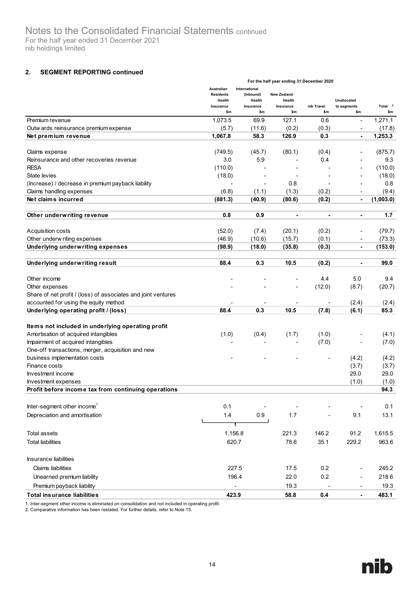#### **2. SEGMENT REPORTING continued**

|                                                               | For the half year ending 31 December 2020                    |                                                          |                                                  |                          |                                   |                           |  |
|---------------------------------------------------------------|--------------------------------------------------------------|----------------------------------------------------------|--------------------------------------------------|--------------------------|-----------------------------------|---------------------------|--|
|                                                               | Australian<br><b>Residents</b><br>Health<br>Insurance<br>\$m | International<br>(Inbound)<br>Health<br>Insurance<br>\$m | <b>New Zealand</b><br>Health<br>Insurance<br>\$m | nib Travel<br>\$m        | Unallocated<br>to segments<br>\$m | Total <sup>2</sup><br>\$m |  |
| Premium revenue                                               | 1,073.5                                                      | 69.9                                                     | 127.1                                            | 0.6                      | $\overline{\phantom{a}}$          | 1,271.1                   |  |
| Outw ards reinsurance premium expense                         | (5.7)                                                        | (11.6)                                                   | (0.2)                                            | (0.3)                    | $\overline{\phantom{a}}$          | (17.8)                    |  |
| Net premium revenue                                           | 1,067.8                                                      | 58.3                                                     | 126.9                                            | 0.3                      | ۰                                 | 1,253.3                   |  |
|                                                               |                                                              |                                                          |                                                  |                          |                                   |                           |  |
| Claims expense                                                | (749.5)                                                      | (45.7)                                                   | (80.1)                                           | (0.4)                    | ٠                                 | (875.7)                   |  |
| Reinsurance and other recoveries revenue                      | 3.0                                                          | 5.9                                                      |                                                  | 0.4                      | $\overline{\phantom{a}}$          | 9.3                       |  |
| <b>RESA</b>                                                   | (110.0)                                                      |                                                          |                                                  |                          | ÷                                 | (110.0)                   |  |
| State levies                                                  | (18.0)                                                       |                                                          |                                                  |                          |                                   | (18.0)                    |  |
| (Increase) / decrease in premium payback liability            |                                                              | $\overline{\phantom{a}}$                                 | 0.8                                              | $\overline{\phantom{a}}$ | $\overline{\phantom{a}}$          | 0.8                       |  |
| Claims handling expenses                                      | (6.8)                                                        | (1.1)                                                    | (1.3)                                            | (0.2)                    | $\blacksquare$                    | (9.4)                     |  |
| Net claims incurred                                           | (881.3)                                                      | (40.9)                                                   | (80.6)                                           | (0.2)                    | $\blacksquare$                    | (1,003.0)                 |  |
|                                                               |                                                              |                                                          |                                                  |                          |                                   |                           |  |
| Other underwriting revenue                                    | 0.8                                                          | 0.9                                                      | $\blacksquare$                                   |                          | ۰                                 | 1.7                       |  |
| Acquisition costs                                             | (52.0)                                                       | (7.4)                                                    | (20.1)                                           | (0.2)                    |                                   | (79.7)                    |  |
| Other underw riting expenses                                  | (46.9)                                                       | (10.6)                                                   | (15.7)                                           | (0.1)                    | $\overline{\phantom{a}}$          | (73.3)                    |  |
| Underlying underwriting expenses                              | (98.9)                                                       | (18.0)                                                   | (35.8)                                           | (0.3)                    | ۰                                 | (153.0)                   |  |
|                                                               |                                                              |                                                          |                                                  |                          |                                   |                           |  |
| Underlying underwriting result                                | 88.4                                                         | 0.3                                                      | 10.5                                             | (0.2)                    |                                   | 99.0                      |  |
| Other income                                                  |                                                              |                                                          |                                                  | 4.4                      | 5.0                               | 9.4                       |  |
| Other expenses                                                |                                                              |                                                          |                                                  | (12.0)                   | (8.7)                             | (20.7)                    |  |
| Share of net profit / (loss) of associates and joint ventures |                                                              |                                                          |                                                  |                          |                                   |                           |  |
| accounted for using the equity method                         |                                                              |                                                          |                                                  |                          | (2.4)                             | (2.4)                     |  |
| Underlying operating profit / (loss)                          | 88.4                                                         | 0.3                                                      | 10.5                                             | (7.8)                    | (6.1)                             | 85.3                      |  |
|                                                               |                                                              |                                                          |                                                  |                          |                                   |                           |  |
| Items not included in underlying operating profit             |                                                              |                                                          |                                                  |                          |                                   |                           |  |
| Amortisation of acquired intangibles                          | (1.0)                                                        | (0.4)                                                    | (1.7)                                            | (1.0)                    |                                   | (4.1)                     |  |
| Impairment of acquired intangibles                            |                                                              |                                                          |                                                  | (7.0)                    |                                   | (7.0)                     |  |
| One-off transactions, merger, acquisition and new             |                                                              |                                                          |                                                  |                          |                                   |                           |  |
| business implementation costs                                 |                                                              |                                                          |                                                  |                          | (4.2)                             | (4.2)                     |  |
| Finance costs                                                 |                                                              |                                                          |                                                  |                          | (3.7)                             | (3.7)                     |  |
| Investment income                                             |                                                              |                                                          |                                                  |                          | 29.0                              | 29.0                      |  |
| Investment expenses                                           |                                                              |                                                          |                                                  |                          | (1.0)                             | (1.0)                     |  |
| Profit before income tax from continuing operations           |                                                              |                                                          |                                                  |                          |                                   | 94.3                      |  |
| Inter-segment other income <sup>1</sup>                       | 0.1                                                          |                                                          |                                                  |                          |                                   | 0.1                       |  |
|                                                               |                                                              |                                                          |                                                  |                          |                                   |                           |  |
| Depreciation and amortisation                                 | 1.4                                                          | 0.9                                                      | 1.7                                              |                          | 9.1                               | 13.1                      |  |
| <b>Total assets</b>                                           | 1,156.8                                                      |                                                          | 221.3                                            | 146.2                    | 91.2                              | 1,615.5                   |  |
| <b>Total liabilities</b>                                      | 620.7                                                        |                                                          | 78.6                                             | 35.1                     | 229.2                             | 963.6                     |  |
|                                                               |                                                              |                                                          |                                                  |                          |                                   |                           |  |
| <b>Insurance liabilities</b>                                  |                                                              |                                                          |                                                  |                          |                                   |                           |  |
| <b>Claims liabilities</b>                                     | 227.5                                                        |                                                          | 17.5                                             | 0.2                      | $\overline{\phantom{a}}$          | 245.2                     |  |
| Unearned premium liability                                    | 196.4                                                        |                                                          | 22.0                                             | 0.2                      | $\overline{\phantom{a}}$          | 218.6                     |  |
| Premium payback liability                                     |                                                              | $\blacksquare$                                           | 19.3                                             |                          | $\overline{\phantom{a}}$          | 19.3                      |  |
| <b>Total insurance liabilities</b>                            | 423.9                                                        |                                                          | 58.8                                             | 0.4                      | ×,                                | 483.1                     |  |

1. Inter-segment other income is eliminated on consolidation and not included in operating profit.

2. Comparative information has been restated. For further details, refer to Note 15.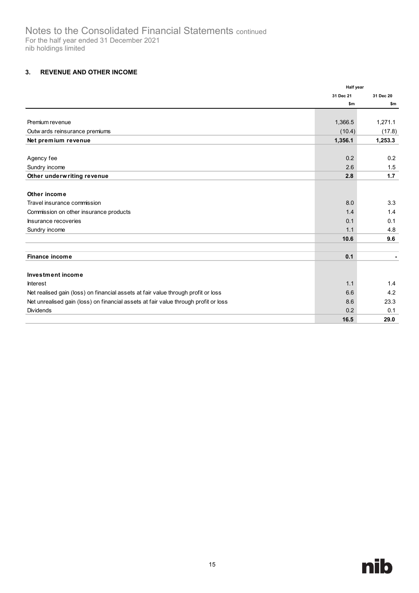## <span id="page-20-0"></span>**3. REVENUE AND OTHER INCOME**

|                                                                                     | <b>Half year</b> |           |
|-------------------------------------------------------------------------------------|------------------|-----------|
|                                                                                     | 31 Dec 21        | 31 Dec 20 |
|                                                                                     | \$m              | \$m       |
|                                                                                     |                  |           |
| Premium revenue                                                                     | 1,366.5          | 1,271.1   |
| Outw ards reinsurance premiums                                                      | (10.4)           | (17.8)    |
| Net premium revenue                                                                 | 1,356.1          | 1,253.3   |
|                                                                                     |                  |           |
| Agency fee                                                                          | 0.2              | 0.2       |
| Sundry income                                                                       | 2.6              | 1.5       |
| Other underwriting revenue                                                          | 2.8              | 1.7       |
|                                                                                     |                  |           |
| Other income                                                                        |                  |           |
| Travel insurance commission                                                         | 8.0              | 3.3       |
| Commission on other insurance products                                              | 1.4              | 1.4       |
| Insurance recoveries                                                                | 0.1              | 0.1       |
| Sundry income                                                                       | 1.1              | 4.8       |
|                                                                                     | 10.6             | 9.6       |
|                                                                                     |                  |           |
| Finance income                                                                      | 0.1              |           |
|                                                                                     |                  |           |
| Investment income                                                                   |                  |           |
| <b>Interest</b>                                                                     | 1.1              | 1.4       |
| Net realised gain (loss) on financial assets at fair value through profit or loss   | 6.6              | 4.2       |
| Net unrealised gain (loss) on financial assets at fair value through profit or loss | 8.6              | 23.3      |
| <b>Dividends</b>                                                                    | 0.2              | 0.1       |
|                                                                                     | 16.5             | 29.0      |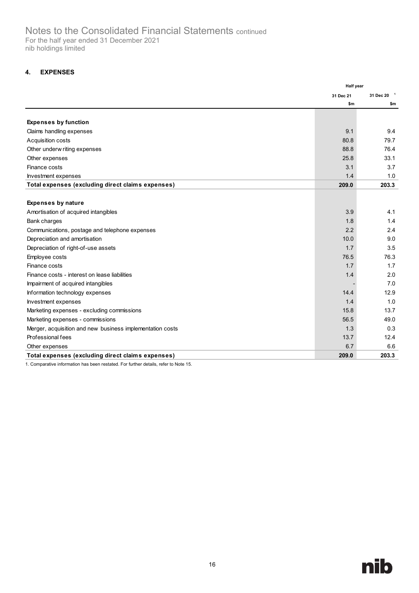## <span id="page-21-0"></span>**4. EXPENSES**

|                                                           | <b>Half year</b> |                        |
|-----------------------------------------------------------|------------------|------------------------|
|                                                           | 31 Dec 21        | 31 Dec 20 <sup>1</sup> |
|                                                           | \$m              | \$m                    |
|                                                           |                  |                        |
| <b>Expenses by function</b>                               |                  |                        |
| Claims handling expenses                                  | 9.1              | 9.4                    |
| Acquisition costs                                         | 80.8             | 79.7                   |
| Other underw riting expenses                              | 88.8             | 76.4                   |
| Other expenses                                            | 25.8             | 33.1                   |
| Finance costs                                             | 3.1              | 3.7                    |
| Investment expenses                                       | 1.4              | 1.0                    |
| Total expenses (excluding direct claims expenses)         | 209.0            | 203.3                  |
|                                                           |                  |                        |
| <b>Expenses by nature</b>                                 |                  |                        |
| Amortisation of acquired intangibles                      | 3.9              | 4.1                    |
| Bank charges                                              | 1.8              | 1.4                    |
| Communications, postage and telephone expenses            | 2.2              | 2.4                    |
| Depreciation and amortisation                             | 10.0             | 9.0                    |
| Depreciation of right-of-use assets                       | 1.7              | 3.5                    |
| Employee costs                                            | 76.5             | 76.3                   |
| Finance costs                                             | 1.7              | 1.7                    |
| Finance costs - interest on lease liabilities             | 1.4              | 2.0                    |
| Impairment of acquired intangibles                        |                  | 7.0                    |
| Information technology expenses                           | 14.4             | 12.9                   |
| Investment expenses                                       | 1.4              | 1.0                    |
| Marketing expenses - excluding commissions                | 15.8             | 13.7                   |
| Marketing expenses - commissions                          | 56.5             | 49.0                   |
| Merger, acquisition and new business implementation costs | 1.3              | 0.3                    |
| Professional fees                                         | 13.7             | 12.4                   |
| Other expenses                                            | 6.7              | 6.6                    |
| Total expenses (excluding direct claims expenses)         | 209.0            | 203.3                  |

1. Comparative information has been restated. For further details, refer to Note 15.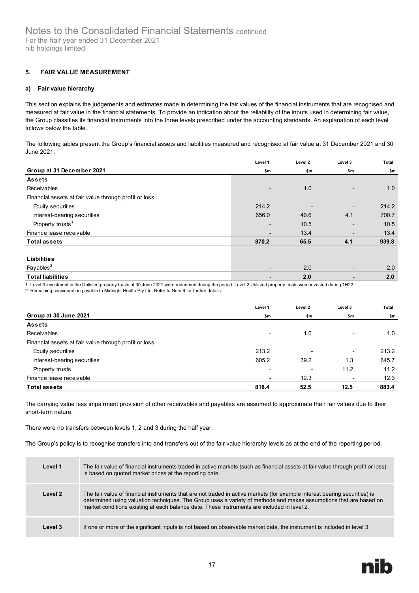#### <span id="page-22-0"></span>**5. FAIR VALUE MEASUREMENT**

#### **a) Fair value hierarchy**

This section explains the judgements and estimates made in determining the fair values of the financial instruments that are recognised and measured at fair value in the financial statements. To provide an indication about the reliability of the inputs used in determining fair value, the Group classifies its financial instruments into the three levels prescribed under the accounting standards. An explanation of each level follows below the table.

The following tables present the Group's financial assets and liabilities measured and recognised at fair value at 31 December 2021 and 30 June 2021:

|                                                       | Level 1                  | Level 2 | Level 3                      | Total |
|-------------------------------------------------------|--------------------------|---------|------------------------------|-------|
| Group at 31 December 2021                             | \$m                      | \$m     | \$m                          | \$m   |
| <b>Assets</b>                                         |                          |         |                              |       |
| Receivables                                           | $\overline{\phantom{0}}$ | 1.0     | $\qquad \qquad \blacksquare$ | 1.0   |
| Financial assets at fair value through profit or loss |                          |         |                              |       |
| Equity securities                                     | 214.2                    |         | -                            | 214.2 |
| Interest-bearing securities                           | 656.0                    | 40.6    | 4.1                          | 700.7 |
| Property trusts <sup>1</sup>                          | $\overline{\phantom{0}}$ | 10.5    | -                            | 10.5  |
| Finance lease receivable                              |                          | 13.4    | -                            | 13.4  |
| <b>Total assets</b>                                   | 870.2                    | 65.5    | 4.1                          | 939.8 |
|                                                       |                          |         |                              |       |
| <b>Liabilities</b>                                    |                          |         |                              |       |
| Payables <sup>2</sup>                                 |                          | 2.0     | -                            | 2.0   |
| <b>Total liabilities</b>                              |                          | 2.0     |                              | 2.0   |

1. Level 3 investment in the Unlisted property trusts at 30 June 2021 were redeemed during the period. Level 2 Unlisted property trusts were invested during 1H22.

2. Remaining consideration payable to Midnight Health Pty Ltd. Refer to Note 6 for further details.

|                                                       | Level 1                  | Level 2                  | Level 3                  | <b>Total</b> |
|-------------------------------------------------------|--------------------------|--------------------------|--------------------------|--------------|
| Group at 30 June 2021                                 | \$m                      | \$m                      | \$m                      | \$m          |
| <b>Assets</b>                                         |                          |                          |                          |              |
| Receivables                                           | $\overline{\phantom{0}}$ | 1.0                      | $\overline{\phantom{a}}$ | 1.0          |
| Financial assets at fair value through profit or loss |                          |                          |                          |              |
| Equity securities                                     | 213.2                    | $\overline{\phantom{0}}$ | ۰.                       | 213.2        |
| Interest-bearing securities                           | 605.2                    | 39.2                     | 1.3                      | 645.7        |
| Property trusts                                       | $\overline{\phantom{0}}$ | $\overline{\phantom{0}}$ | 11.2                     | 11.2         |
| Finance lease receivable                              | $\overline{\phantom{a}}$ | 12.3                     | ۰                        | 12.3         |
| <b>Total assets</b>                                   | 818.4                    | 52.5                     | 12.5                     | 883.4        |

The carrying value less impairment provision of other receivables and payables are assumed to approximate their fair values due to their short-term nature.

There were no transfers between levels 1, 2 and 3 during the half year.

The Group's policy is to recognise transfers into and transfers out of the fair value hierarchy levels as at the end of the reporting period.

| Level 1 | The fair value of financial instruments traded in active markets (such as financial assets at fair value through profit or loss)<br>is based on quoted market prices at the reporting date.                                                                                                                                                     |
|---------|-------------------------------------------------------------------------------------------------------------------------------------------------------------------------------------------------------------------------------------------------------------------------------------------------------------------------------------------------|
| Level 2 | The fair value of financial instruments that are not traded in active markets (for example interest bearing securities) is<br>determined using valuation techniques. The Group uses a variety of methods and makes assumptions that are based on<br>market conditions existing at each balance date. These instruments are included in level 2. |
| Level 3 | If one or more of the significant inputs is not based on observable market data, the instrument is included in level 3.                                                                                                                                                                                                                         |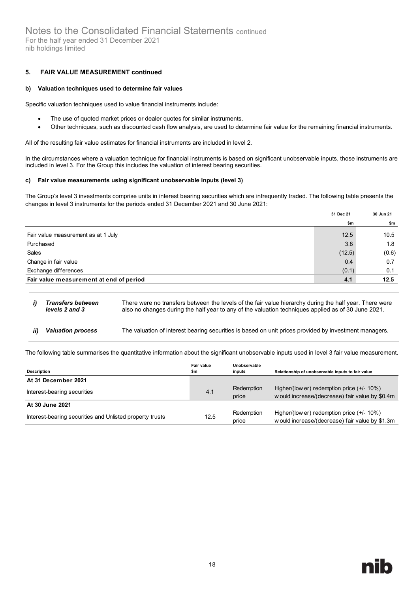nib holdings limited

#### **5. FAIR VALUE MEASUREMENT continued**

#### **b) Valuation techniques used to determine fair values**

Specific valuation techniques used to value financial instruments include:

- The use of quoted market prices or dealer quotes for similar instruments.
- Other techniques, such as discounted cash flow analysis, are used to determine fair value for the remaining financial instruments.

All of the resulting fair value estimates for financial instruments are included in level 2.

In the circumstances where a valuation technique for financial instruments is based on significant unobservable inputs, those instruments are included in level 3. For the Group this includes the valuation of interest bearing securities.

#### **c) Fair value measurements using significant unobservable inputs (level 3)**

The Group's level 3 investments comprise units in interest bearing securities which are infrequently traded. The following table presents the changes in level 3 instruments for the periods ended 31 December 2021 and 30 June 2021:

|                                         | 31 Dec 21 | 30 Jun 21 |
|-----------------------------------------|-----------|-----------|
|                                         | \$m       | \$m       |
| Fair value measurement as at 1 July     | 12.5      | 10.5      |
| Purchased                               | 3.8       | 1.8       |
| Sales                                   | (12.5)    | (0.6)     |
| Change in fair value                    | 0.4       | 0.7       |
| Exchange differences                    | (0.1)     | 0.1       |
| Fair value measurement at end of period | 4.1       | 12.5      |

- *Transfers between*   $i)$ There were no transfers between the levels of the fair value hierarchy during the half year. There were also no changes during the half year to any of the valuation techniques applied as of 30 June 2021. *levels 2 and 3*
- *Valuation process* The valuation of interest bearing securities is based on unit prices provided by investment managers. ii)

The following table summarises the quantitative information about the significant unobservable inputs used in level 3 fair value measurement.

| <b>Description</b>                                       | Fair value<br>\$m | Unobservable<br>inputs | Relationship of unobservable inputs to fair value                                               |
|----------------------------------------------------------|-------------------|------------------------|-------------------------------------------------------------------------------------------------|
| At 31 December 2021                                      |                   |                        |                                                                                                 |
| Interest-bearing securities                              | 4.1               | Redemption<br>price    | Higher/(low er) redemption price $(+/- 10%)$<br>w ould increase/(decrease) fair value by \$0.4m |
| At 30 June 2021                                          |                   |                        |                                                                                                 |
| Interest-bearing securities and Unlisted property trusts | 12.5              | Redemption<br>price    | Higher/(low er) redemption price $(+/- 10%)$<br>w ould increase/(decrease) fair value by \$1.3m |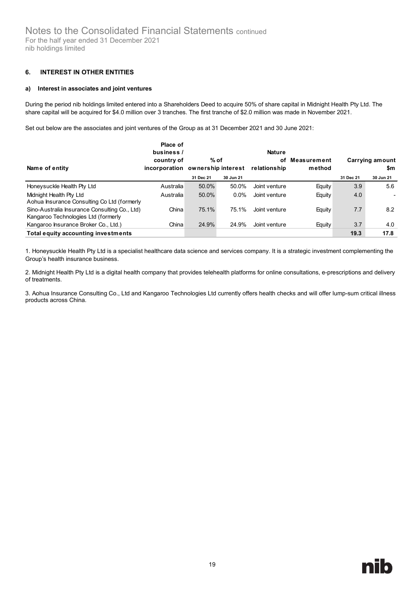#### <span id="page-24-0"></span>**6. INTEREST IN OTHER ENTITIES**

#### **a) Interest in associates and joint ventures**

During the period nib holdings limited entered into a Shareholders Deed to acquire 50% of share capital in Midnight Health Pty Ltd. The share capital will be acquired for \$4.0 million over 3 tranches. The first tranche of \$2.0 million was made in November 2021.

Set out below are the associates and joint ventures of the Group as at 31 December 2021 and 30 June 2021:

| Name of entity                                                                       | Place of<br>business /<br>country of<br>incorporation ownership interest | % of      |           | <b>Nature</b><br>οf<br>relationship | Measurement<br>method |           | Carrying amount<br>\$m |
|--------------------------------------------------------------------------------------|--------------------------------------------------------------------------|-----------|-----------|-------------------------------------|-----------------------|-----------|------------------------|
|                                                                                      |                                                                          | 31 Dec 21 | 30 Jun 21 |                                     |                       | 31 Dec 21 | 30 Jun 21              |
| Honeysuckle Health Pty Ltd                                                           | Australia                                                                | 50.0%     | 50.0%     | Joint venture                       | Equity                | 3.9       | 5.6                    |
| Midnight Health Pty Ltd<br>Aohua Insurance Consulting Co Ltd (formerly               | Australia                                                                | 50.0%     | $0.0\%$   | Joint venture                       | Equity                | 4.0       |                        |
| Sino-Australia Insurance Consulting Co., Ltd)<br>Kangaroo Technologies Ltd (formerly | China                                                                    | 75.1%     | 75.1%     | Joint venture                       | Equity                | 7.7       | 8.2                    |
| Kangaroo Insurance Broker Co., Ltd.)                                                 | China                                                                    | 24.9%     | 24.9%     | Joint venture                       | Equity                | 3.7       | 4.0                    |
| Total equity accounting investments                                                  |                                                                          |           |           |                                     |                       | 19.3      | 17.8                   |

1. Honeysuckle Health Pty Ltd is a specialist healthcare data science and services company. It is a strategic investment complementing the Group's health insurance business.

2. Midnight Health Pty Ltd is a digital health company that provides telehealth platforms for online consultations, e-prescriptions and delivery of treatments.

3. Aohua Insurance Consulting Co., Ltd and Kangaroo Technologies Ltd currently offers health checks and will offer lump-sum critical illness products across China.

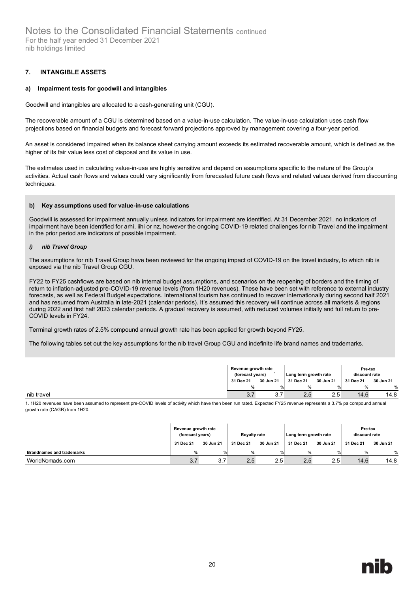#### <span id="page-25-0"></span>**7. INTANGIBLE ASSETS**

#### **a) Impairment tests for goodwill and intangibles**

Goodwill and intangibles are allocated to a cash-generating unit (CGU).

The recoverable amount of a CGU is determined based on a value-in-use calculation. The value-in-use calculation uses cash flow projections based on financial budgets and forecast forward projections approved by management covering a four-year period.

An asset is considered impaired when its balance sheet carrying amount exceeds its estimated recoverable amount, which is defined as the higher of its fair value less cost of disposal and its value in use.

The estimates used in calculating value-in-use are highly sensitive and depend on assumptions specific to the nature of the Group's activities. Actual cash flows and values could vary significantly from forecasted future cash flows and related values derived from discounting techniques

#### **b) Key assumptions used for value-in-use calculations**

Goodwill is assessed for impairment annually unless indicators for impairment are identified. At 31 December 2021, no indicators of impairment have been identified for arhi, iihi or nz, however the ongoing COVID-19 related challenges for nib Travel and the impairment in the prior period are indicators of possible impairment.

#### *i) nib Travel Group*

The assumptions for nib Travel Group have been reviewed for the ongoing impact of COVID-19 on the travel industry, to which nib is exposed via the nib Travel Group CGU.

FY22 to FY25 cashflows are based on nib internal budget assumptions, and scenarios on the reopening of borders and the timing of return to inflation-adjusted pre-COVID-19 revenue levels (from 1H20 revenues). These have been set with reference to external industry forecasts, as well as Federal Budget expectations. International tourism has continued to recover internationally during second half 2021 and has resumed from Australia in late-2021 (calendar periods). It's assumed this recovery will continue across all markets & regions during 2022 and first half 2023 calendar periods. A gradual recovery is assumed, with reduced volumes initially and full return to pre-COVID levels in FY24.

Terminal growth rates of 2.5% compound annual growth rate has been applied for growth beyond FY25.

The following tables set out the key assumptions for the nib travel Group CGU and indefinite life brand names and trademarks.

| Revenue growth rate<br>Long term growth rate<br>(forecast years) |  |
|------------------------------------------------------------------|--|
| 30 Jun 21                                                        |  |
| ℅                                                                |  |
| ?7<br>ບ.≀                                                        |  |

1. 1H20 revenues have been assumed to represent pre-COVID levels of activity which have then been run rated. Expected FY25 revenue represents a 3.7% pa compound annual growth rate (CAGR) from 1H20.

|                                  | Revenue growth rate<br>(forecast years) |           | <b>Royalty rate</b> |               | Long term growth rate |           | Pre-tax<br>discount rate |           |
|----------------------------------|-----------------------------------------|-----------|---------------------|---------------|-----------------------|-----------|--------------------------|-----------|
|                                  | 31 Dec 21                               | 30 Jun 21 | 31 Dec 21           | 30 Jun 21     | 31 Dec 21             | 30 Jun 21 | 31 Dec 21                | 30 Jun 21 |
| <b>Brandnames and trademarks</b> | %                                       | O(n)      | %                   | $\frac{0}{n}$ | %                     | $\Omega$  | %                        | %         |
| WorldNomads.com                  | 3.7                                     | 3.7       | 2.5                 | 2.5           | 2.5                   | 2.5       | 14.6                     | 14.8      |

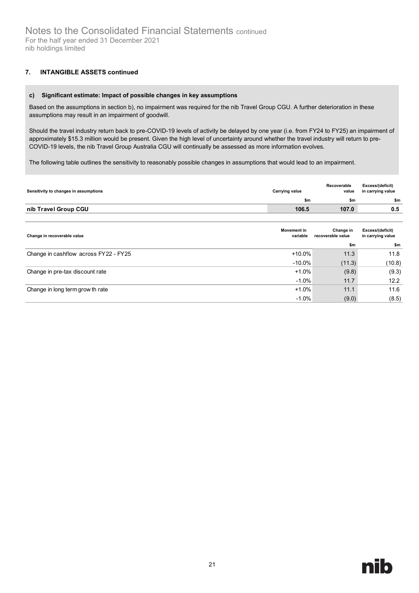### **7. INTANGIBLE ASSETS continued**

#### **c) Significant estimate: Impact of possible changes in key assumptions**

Based on the assumptions in section b), no impairment was required for the nib Travel Group CGU. A further deterioration in these assumptions may result in an impairment of goodwill.

Should the travel industry return back to pre-COVID-19 levels of activity be delayed by one year (i.e. from FY24 to FY25) an impairment of approximately \$15.3 million would be present. Given the high level of uncertainty around whether the travel industry will return to pre-COVID-19 levels, the nib Travel Group Australia CGU will continually be assessed as more information evolves.

The following table outlines the sensitivity to reasonably possible changes in assumptions that would lead to an impairment.

| Sensitivity to changes in assumptions | <b>Carrying value</b> | Recoverable<br>value | Excess/(deficit)<br>in carrying value |
|---------------------------------------|-----------------------|----------------------|---------------------------------------|
|                                       | \$m                   | \$m                  | \$m                                   |
| nib Travel Group CGU                  | 106.5                 | 107.0                | 0.5                                   |
|                                       |                       |                      |                                       |

| Change in recoverable value           | <b>Movement in</b><br>variable | Change in<br>recoverable value | Excess/(deficit)<br>in carrying value |
|---------------------------------------|--------------------------------|--------------------------------|---------------------------------------|
|                                       |                                | \$m                            | \$m                                   |
| Change in cashflow across FY22 - FY25 | $+10.0\%$                      | 11.3                           | 11.8                                  |
|                                       | $-10.0\%$                      | (11.3)                         | (10.8)                                |
| Change in pre-tax discount rate       | $+1.0%$                        | (9.8)                          | (9.3)                                 |
|                                       | $-1.0%$                        | 11.7                           | 12.2                                  |
| Change in long term grow th rate      | $+1.0%$                        | 11.1                           | 11.6                                  |
|                                       | $-1.0%$                        | (9.0)                          | (8.5)                                 |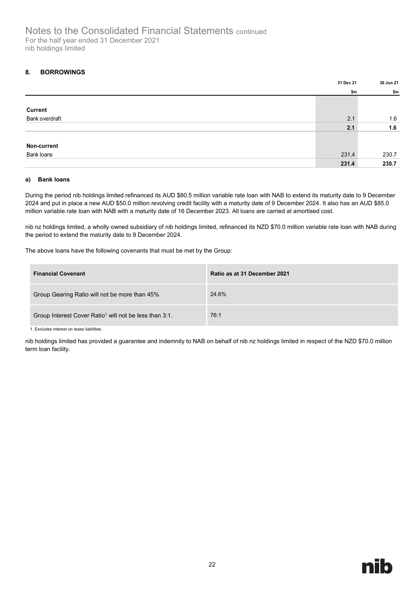#### <span id="page-27-0"></span>**8. BORROWINGS**

|                | 31 Dec 21 | 30 Jun 21 |
|----------------|-----------|-----------|
|                | \$m       | \$m       |
|                |           |           |
| <b>Current</b> |           |           |
| Bank overdraft | 2.1       | 1.6       |
|                | 2.1       | 1.6       |
|                |           |           |
| Non-current    |           |           |
| Bank loans     | 231.4     | 230.7     |
|                | 231.4     | 230.7     |

#### **a) Bank loans**

During the period nib holdings limited refinanced its AUD \$80.5 million variable rate loan with NAB to extend its maturity date to 9 December 2024 and put in place a new AUD \$50.0 million revolving credit facility with a maturity date of 9 December 2024. It also has an AUD \$85.0 million variable rate loan with NAB with a maturity date of 16 December 2023. All loans are carried at amortised cost.

nib nz holdings limited, a wholly owned subsidiary of nib holdings limited, refinanced its NZD \$70.0 million variable rate loan with NAB during the period to extend the maturity date to 9 December 2024.

The above loans have the following covenants that must be met by the Group:

| <b>Financial Covenant</b>                                          | Ratio as at 31 December 2021 |
|--------------------------------------------------------------------|------------------------------|
| Group Gearing Ratio will not be more than 45%                      | 24.6%                        |
| Group Interest Cover Ratio <sup>1</sup> will not be less than 3:1. | 76:1                         |

1. Excludes interest on lease liabilities.

nib holdings limited has provided a guarantee and indemnity to NAB on behalf of nib nz holdings limited in respect of the NZD \$70.0 million term loan facility.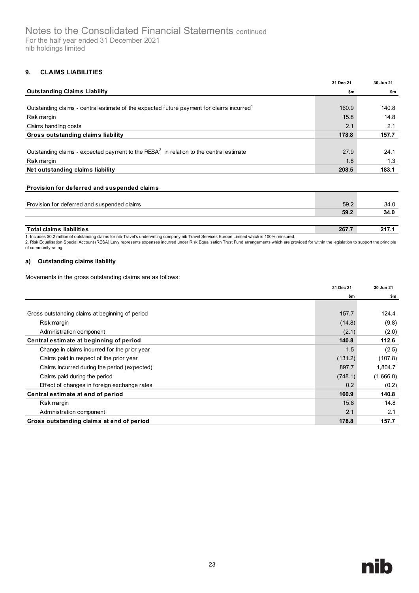#### <span id="page-28-0"></span>**9. CLAIMS LIABILITIES**

|                                                                                                       | 31 Dec 21 | 30 Jun 21 |
|-------------------------------------------------------------------------------------------------------|-----------|-----------|
| <b>Outstanding Claims Liability</b>                                                                   | \$m       | \$m       |
|                                                                                                       |           |           |
| Outstanding claims - central estimate of the expected future payment for claims incurred <sup>1</sup> | 160.9     | 140.8     |
| Risk margin                                                                                           | 15.8      | 14.8      |
| Claims handling costs                                                                                 | 2.1       | 2.1       |
| Gross outstanding claims liability                                                                    | 178.8     | 157.7     |
|                                                                                                       |           |           |
| Outstanding claims - expected payment to the RESA $2$ in relation to the central estimate             | 27.9      | 24.1      |
| Risk margin                                                                                           | 1.8       | 1.3       |
| Net outstanding claims liability                                                                      | 208.5     | 183.1     |
|                                                                                                       |           |           |

#### **Provision for deferred and suspended claims**

| Provision for deferred and suspended claims | 59.2  | 34.0 |
|---------------------------------------------|-------|------|
|                                             | 59.2  | 34.0 |
|                                             |       |      |
| <b>Total claims liabilities</b>             | 267.7 | 217. |

1. Includes \$0.2 million of outstanding claims for nib Travel's underwriting company nib Travel Services Europe Limited which is 100% reinsured.<br>2. Risk Equalisation Special Account (RESA) Levy represents expenses incurred of community rating.

#### **a) Outstanding claims liability**

Movements in the gross outstanding claims are as follows:

|                                                 | 31 Dec 21 | 30 Jun 21 |
|-------------------------------------------------|-----------|-----------|
|                                                 | \$m       | \$m       |
|                                                 |           |           |
| Gross outstanding claims at beginning of period | 157.7     | 124.4     |
| Risk margin                                     | (14.8)    | (9.8)     |
| Administration component                        | (2.1)     | (2.0)     |
| Central estimate at beginning of period         | 140.8     | 112.6     |
| Change in claims incurred for the prior year    | 1.5       | (2.5)     |
| Claims paid in respect of the prior year        | (131.2)   | (107.8)   |
| Claims incurred during the period (expected)    | 897.7     | 1.804.7   |
| Claims paid during the period                   | (748.1)   | (1,666.0) |
| Effect of changes in foreign exchange rates     | 0.2       | (0.2)     |
| Central estimate at end of period               | 160.9     | 140.8     |
| Risk margin                                     | 15.8      | 14.8      |
| Administration component                        | 2.1       | 2.1       |
| Gross outstanding claims at end of period       | 178.8     | 157.7     |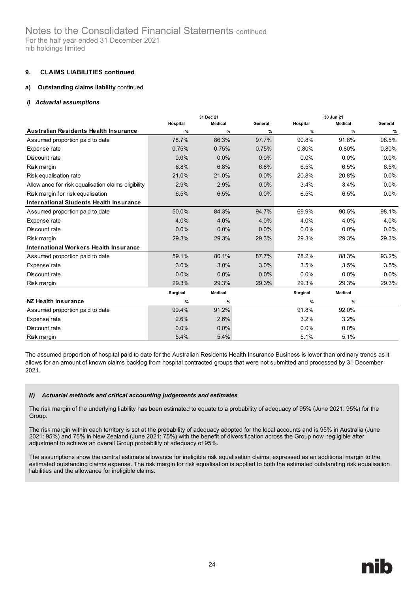# Notes to the Consolidated Financial Statements continued For the half year ended 31 December 2021

nib holdings limited

#### **9. CLAIMS LIABILITIES continued**

#### **a) Outstanding claims liability** continued

#### *i) Actuarial assumptions*

|                                                     |          | 31 Dec 21 |         |          | 30 Jun 21      |         |
|-----------------------------------------------------|----------|-----------|---------|----------|----------------|---------|
|                                                     | Hospital | Medical   | General | Hospital | <b>Medical</b> | General |
| <b>Australian Residents Health Insurance</b>        | $\%$     | $\%$      | %       | $\%$     | $\frac{9}{6}$  | %       |
| Assumed proportion paid to date                     | 78.7%    | 86.3%     | 97.7%   | 90.8%    | 91.8%          | 98.5%   |
| Expense rate                                        | 0.75%    | 0.75%     | 0.75%   | 0.80%    | 0.80%          | 0.80%   |
| Discount rate                                       | 0.0%     | 0.0%      | 0.0%    | 0.0%     | 0.0%           | 0.0%    |
| Risk margin                                         | 6.8%     | 6.8%      | 6.8%    | 6.5%     | 6.5%           | 6.5%    |
| Risk equalisation rate                              | 21.0%    | 21.0%     | 0.0%    | 20.8%    | 20.8%          | 0.0%    |
| Allow ance for risk equalisation claims eligibility | 2.9%     | 2.9%      | $0.0\%$ | 3.4%     | 3.4%           | 0.0%    |
| Risk margin for risk equalisation                   | 6.5%     | 6.5%      | $0.0\%$ | 6.5%     | 6.5%           | 0.0%    |
| <b>International Students Health Insurance</b>      |          |           |         |          |                |         |
| Assumed proportion paid to date                     | 50.0%    | 84.3%     | 94.7%   | 69.9%    | 90.5%          | 98.1%   |
| Expense rate                                        | 4.0%     | 4.0%      | 4.0%    | 4.0%     | 4.0%           | 4.0%    |
| Discount rate                                       | 0.0%     | 0.0%      | $0.0\%$ | 0.0%     | $0.0\%$        | 0.0%    |
| Risk margin                                         | 29.3%    | 29.3%     | 29.3%   | 29.3%    | 29.3%          | 29.3%   |
| International Workers Health Insurance              |          |           |         |          |                |         |
| Assumed proportion paid to date                     | 59.1%    | 80.1%     | 87.7%   | 78.2%    | 88.3%          | 93.2%   |
| Expense rate                                        | 3.0%     | 3.0%      | 3.0%    | 3.5%     | 3.5%           | 3.5%    |
| Discount rate                                       | 0.0%     | 0.0%      | $0.0\%$ | $0.0\%$  | $0.0\%$        | 0.0%    |
| Risk margin                                         | 29.3%    | 29.3%     | 29.3%   | 29.3%    | 29.3%          | 29.3%   |
|                                                     | Surgical | Medical   |         | Surgical | Medical        |         |
| NZ Health Insurance                                 | $\%$     | $\%$      |         | $\%$     | $\%$           |         |
| Assumed proportion paid to date                     | 90.4%    | 91.2%     |         | 91.8%    | 92.0%          |         |
| Expense rate                                        | 2.6%     | 2.6%      |         | 3.2%     | 3.2%           |         |
| Discount rate                                       | 0.0%     | $0.0\%$   |         | $0.0\%$  | $0.0\%$        |         |
| Risk margin                                         | 5.4%     | 5.4%      |         | 5.1%     | 5.1%           |         |

The assumed proportion of hospital paid to date for the Australian Residents Health Insurance Business is lower than ordinary trends as it allows for an amount of known claims backlog from hospital contracted groups that were not submitted and processed by 31 December 2021.

#### $ii)$ *Actuarial methods and critical accounting judgements and estimates*

The risk margin of the underlying liability has been estimated to equate to a probability of adequacy of 95% (June 2021: 95%) for the Group.

The risk margin within each territory is set at the probability of adequacy adopted for the local accounts and is 95% in Australia (June 2021: 95%) and 75% in New Zealand (June 2021: 75%) with the benefit of diversification across the Group now negligible after adjustment to achieve an overall Group probability of adequacy of 95%.

The assumptions show the central estimate allowance for ineligible risk equalisation claims, expressed as an additional margin to the estimated outstanding claims expense. The risk margin for risk equalisation is applied to both the estimated outstanding risk equalisation liabilities and the allowance for ineligible claims.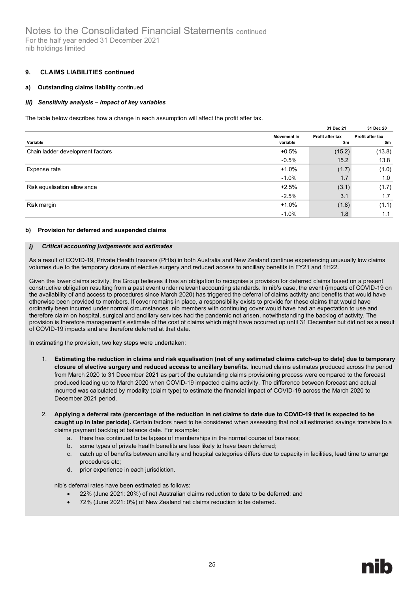#### **9. CLAIMS LIABILITIES continued**

#### **a) Outstanding claims liability** continued

#### iii) *Sensitivity analysis – impact of key variables*

The table below describes how a change in each assumption will affect the profit after tax.

|                                  |                         | 31 Dec 21               | 31 Dec 20               |
|----------------------------------|-------------------------|-------------------------|-------------------------|
| Variable                         | Movement in<br>variable | Profit after tax<br>\$m | Profit after tax<br>\$m |
| Chain ladder development factors | $+0.5%$                 | (15.2)                  | (13.8)                  |
|                                  | $-0.5%$                 | 15.2                    | 13.8                    |
| Expense rate                     | $+1.0%$                 | (1.7)                   | (1.0)                   |
|                                  | $-1.0%$                 | 1.7                     | 1.0                     |
| Risk equalisation allow ance     | $+2.5%$                 | (3.1)                   | (1.7)                   |
|                                  | $-2.5%$                 | 3.1                     | 1.7                     |
| Risk margin                      | $+1.0%$                 | (1.8)                   | (1.1)                   |
|                                  | $-1.0%$                 | 1.8                     | 1.1                     |

#### **b) Provision for deferred and suspended claims**

#### $i)$ *Critical accounting judgements and estimates*

As a result of COVID-19, Private Health Insurers (PHIs) in both Australia and New Zealand continue experiencing unusually low claims volumes due to the temporary closure of elective surgery and reduced access to ancillary benefits in FY21 and 1H22.

Given the lower claims activity, the Group believes it has an obligation to recognise a provision for deferred claims based on a present constructive obligation resulting from a past event under relevant accounting standards. In nib's case, the event (impacts of COVID-19 on the availability of and access to procedures since March 2020) has triggered the deferral of claims activity and benefits that would have otherwise been provided to members. If cover remains in place, a responsibility exists to provide for these claims that would have ordinarily been incurred under normal circumstances. nib members with continuing cover would have had an expectation to use and therefore claim on hospital, surgical and ancillary services had the pandemic not arisen, notwithstanding the backlog of activity. The provision is therefore management's estimate of the cost of claims which might have occurred up until 31 December but did not as a result of COVID-19 impacts and are therefore deferred at that date.

In estimating the provision, two key steps were undertaken:

- 1. **Estimating the reduction in claims and risk equalisation (net of any estimated claims catch-up to date) due to temporary closure of elective surgery and reduced access to ancillary benefits.** Incurred claims estimates produced across the period from March 2020 to 31 December 2021 as part of the outstanding claims provisioning process were compared to the forecast produced leading up to March 2020 when COVID-19 impacted claims activity. The difference between forecast and actual incurred was calculated by modality (claim type) to estimate the financial impact of COVID-19 across the March 2020 to December 2021 period.
- 2. **Applying a deferral rate (percentage of the reduction in net claims to date due to COVID-19 that is expected to be caught up in later periods).** Certain factors need to be considered when assessing that not all estimated savings translate to a claims payment backlog at balance date. For example:
	- a. there has continued to be lapses of memberships in the normal course of business;
	- b. some types of private health benefits are less likely to have been deferred;
	- c. catch up of benefits between ancillary and hospital categories differs due to capacity in facilities, lead time to arrange procedures etc;
	- d. prior experience in each jurisdiction.

nib's deferral rates have been estimated as follows:

- 22% (June 2021: 20%) of net Australian claims reduction to date to be deferred; and
- 72% (June 2021: 0%) of New Zealand net claims reduction to be deferred.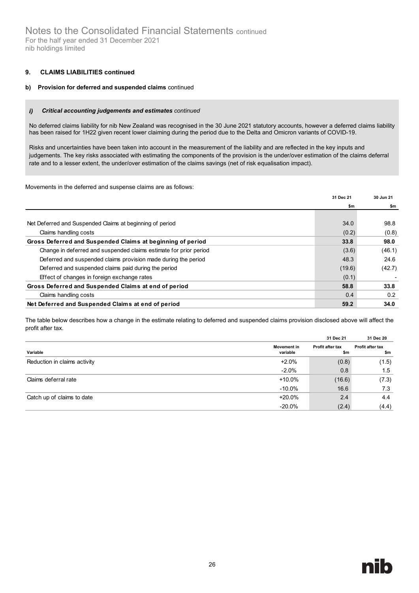#### **9. CLAIMS LIABILITIES continued**

#### **b) Provision for deferred and suspended claims** continued

#### $i)$ *Critical accounting judgements and estimates continued*

No deferred claims liability for nib New Zealand was recognised in the 30 June 2021 statutory accounts, however a deferred claims liability has been raised for 1H22 given recent lower claiming during the period due to the Delta and Omicron variants of COVID-19.

Risks and uncertainties have been taken into account in the measurement of the liability and are reflected in the key inputs and judgements. The key risks associated with estimating the components of the provision is the under/over estimation of the claims deferral rate and to a lesser extent, the under/over estimation of the claims savings (net of risk equalisation impact).

Movements in the deferred and suspense claims are as follows:

|                                                                   | 31 Dec 21 | 30 Jun 21 |
|-------------------------------------------------------------------|-----------|-----------|
|                                                                   | \$m       | \$m       |
|                                                                   |           |           |
| Net Deferred and Suspended Claims at beginning of period          | 34.0      | 98.8      |
| Claims handling costs                                             | (0.2)     | (0.8)     |
| Gross Deferred and Suspended Claims at beginning of period        | 33.8      | 98.0      |
| Change in deferred and suspended claims estimate for prior period | (3.6)     | (46.1)    |
| Deferred and suspended claims provision made during the period    | 48.3      | 24.6      |
| Deferred and suspended claims paid during the period              | (19.6)    | (42.7)    |
| Effect of changes in foreign exchange rates                       | (0.1)     |           |
| Gross Deferred and Suspended Claims at end of period              | 58.8      | 33.8      |
| Claims handling costs                                             | 0.4       | 0.2       |
| Net Deferred and Suspended Claims at end of period                | 59.2      | 34.0      |

The table below describes how a change in the estimate relating to deferred and suspended claims provision disclosed above will affect the profit after tax.

|                              |                                | 31 Dec 21               | 31 Dec 20               |
|------------------------------|--------------------------------|-------------------------|-------------------------|
| Variable                     | <b>Movement in</b><br>variable | Profit after tax<br>\$m | Profit after tax<br>\$m |
| Reduction in claims activity | $+2.0%$                        | (0.8)                   | (1.5)                   |
|                              | $-2.0%$                        | 0.8                     | 1.5                     |
| Claims deferral rate         | +10.0%                         | (16.6)                  | (7.3)                   |
|                              | $-10.0\%$                      | 16.6                    | 7.3                     |
| Catch up of claims to date   | +20.0%                         | 2.4                     | 4.4                     |
|                              | $-20.0\%$                      | (2.4)                   | (4.4)                   |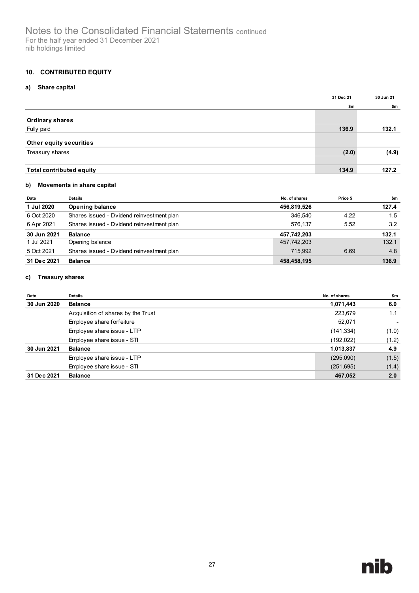#### <span id="page-32-0"></span>**10. CONTRIBUTED EQUITY**

#### **a) Share capital**

|                                 | 31 Dec 21 | 30 Jun 21 |
|---------------------------------|-----------|-----------|
|                                 | \$m       | \$m       |
| <b>Ordinary shares</b>          |           |           |
| Fully paid                      | 136.9     | 132.1     |
| Other equity securities         |           |           |
| Treasury shares                 | (2.0)     | (4.9)     |
|                                 |           |           |
| <b>Total contributed equity</b> | 134.9     | 127.2     |

#### **b) Movements in share capital**

| Date        | <b>Details</b>                             | No. of shares | Price \$ | \$m   |
|-------------|--------------------------------------------|---------------|----------|-------|
| 1 Jul 2020  | <b>Opening balance</b>                     | 456,819,526   |          | 127.4 |
| 6 Oct 2020  | Shares issued - Dividend reinvestment plan | 346.540       | 4.22     | 1.5   |
| 6 Apr 2021  | Shares issued - Dividend reinvestment plan | 576.137       | 5.52     | 3.2   |
| 30 Jun 2021 | <b>Balance</b>                             | 457,742,203   |          | 132.1 |
| 1 Jul 2021  | Opening balance                            | 457,742,203   |          | 132.1 |
| 5 Oct 2021  | Shares issued - Dividend reinvestment plan | 715.992       | 6.69     | 4.8   |
| 31 Dec 2021 | <b>Balance</b>                             | 458,458,195   |          | 136.9 |

#### **c) Treasury shares**

| Date        | <b>Details</b>                     | No. of shares | \$m   |
|-------------|------------------------------------|---------------|-------|
| 30 Jun 2020 | <b>Balance</b>                     | 1,071,443     | 6.0   |
|             | Acquisition of shares by the Trust | 223,679       | 1.1   |
|             | Employee share forfeiture          | 52,071        | ٠     |
|             | Employee share issue - LTIP        | (141,334)     | (1.0) |
|             | Employee share issue - STI         | (192, 022)    | (1.2) |
| 30 Jun 2021 | <b>Balance</b>                     | 1,013,837     | 4.9   |
|             | Employee share issue - LTIP        | (295,090)     | (1.5) |
|             | Employee share issue - STI         | (251, 695)    | (1.4) |
| 31 Dec 2021 | <b>Balance</b>                     | 467,052       | 2.0   |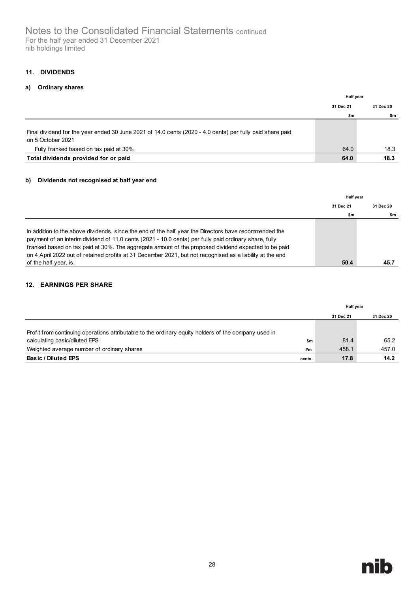#### <span id="page-33-0"></span>**11. DIVIDENDS**

#### **a) Ordinary shares**

|                                                                                                                                                                          | <b>Half year</b> |           |
|--------------------------------------------------------------------------------------------------------------------------------------------------------------------------|------------------|-----------|
|                                                                                                                                                                          | 31 Dec 21        | 31 Dec 20 |
|                                                                                                                                                                          | \$m              | \$m       |
| Final dividend for the year ended 30 June 2021 of 14.0 cents (2020 - 4.0 cents) per fully paid share paid<br>on 5 October 2021<br>Fully franked based on tax paid at 30% | 64.0             | 18.3      |
| Total dividends provided for or paid                                                                                                                                     | 64.0             | 18.3      |

#### **b) Dividends not recognised at half year end**

|                                                                                                           | <b>Half year</b> |           |
|-----------------------------------------------------------------------------------------------------------|------------------|-----------|
|                                                                                                           | 31 Dec 21        | 31 Dec 20 |
|                                                                                                           | \$m              | \$m       |
|                                                                                                           |                  |           |
| In addition to the above dividends, since the end of the half year the Directors have recommended the     |                  |           |
| payment of an interim dividend of 11.0 cents (2021 - 10.0 cents) per fully paid ordinary share, fully     |                  |           |
| franked based on tax paid at 30%. The aggregate amount of the proposed dividend expected to be paid       |                  |           |
| on 4 April 2022 out of retained profits at 31 December 2021, but not recognised as a liability at the end |                  |           |
| of the half year, is:                                                                                     | 50.4             | 45.7      |

#### <span id="page-33-1"></span>**12. EARNINGS PER SHARE**

|                                                                                                      |       | Half year |           |
|------------------------------------------------------------------------------------------------------|-------|-----------|-----------|
|                                                                                                      |       | 31 Dec 21 | 31 Dec 20 |
| Profit from continuing operations attributable to the ordinary equity holders of the company used in |       |           |           |
| calculating basic/diluted EPS                                                                        | \$m   | 81.4      | 65.2      |
| Weighted average number of ordinary shares                                                           | #m    | 458.1     | 457.0     |
| Basic / Diluted EPS                                                                                  | cents | 17.8      | 14.2      |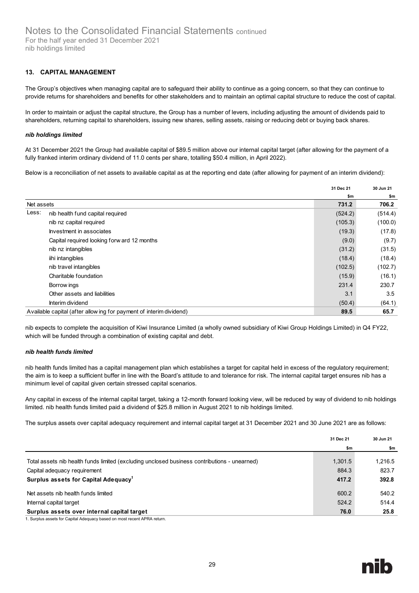#### <span id="page-34-0"></span>**13. CAPITAL MANAGEMENT**

The Group's objectives when managing capital are to safeguard their ability to continue as a going concern, so that they can continue to provide returns for shareholders and benefits for other stakeholders and to maintain an optimal capital structure to reduce the cost of capital.

In order to maintain or adjust the capital structure, the Group has a number of levers, including adjusting the amount of dividends paid to shareholders, returning capital to shareholders, issuing new shares, selling assets, raising or reducing debt or buying back shares.

#### *nib holdings limited*

At 31 December 2021 the Group had available capital of \$89.5 million above our internal capital target (after allowing for the payment of a fully franked interim ordinary dividend of 11.0 cents per share, totalling \$50.4 million, in April 2022).

Below is a reconciliation of net assets to available capital as at the reporting end date (after allowing for payment of an interim dividend):

|            |                                                                    | 31 Dec 21 | 30 Jun 21 |
|------------|--------------------------------------------------------------------|-----------|-----------|
|            |                                                                    | \$m       | \$m       |
| Net assets |                                                                    | 731.2     | 706.2     |
| Less:      | nib health fund capital required                                   | (524.2)   | (514.4)   |
|            | nib nz capital required                                            | (105.3)   | (100.0)   |
|            | Investment in associates                                           | (19.3)    | (17.8)    |
|            | Capital required looking forw ard 12 months                        | (9.0)     | (9.7)     |
|            | nib nz intangibles                                                 | (31.2)    | (31.5)    |
|            | iihi intangibles                                                   | (18.4)    | (18.4)    |
|            | nib travel intangibles                                             | (102.5)   | (102.7)   |
|            | Charitable foundation                                              | (15.9)    | (16.1)    |
|            | Borrow ings                                                        | 231.4     | 230.7     |
|            | Other assets and liabilities                                       | 3.1       | 3.5       |
|            | Interim dividend                                                   | (50.4)    | (64.1)    |
|            | Available capital (after allowing for payment of interim dividend) | 89.5      | 65.7      |

nib expects to complete the acquisition of Kiwi Insurance Limited (a wholly owned subsidiary of Kiwi Group Holdings Limited) in Q4 FY22, which will be funded through a combination of existing capital and debt.

#### *nib health funds limited*

nib health funds limited has a capital management plan which establishes a target for capital held in excess of the regulatory requirement; the aim is to keep a sufficient buffer in line with the Board's attitude to and tolerance for risk. The internal capital target ensures nib has a minimum level of capital given certain stressed capital scenarios.

Any capital in excess of the internal capital target, taking a 12-month forward looking view, will be reduced by way of dividend to nib holdings limited. nib health funds limited paid a dividend of \$25.8 million in August 2021 to nib holdings limited.

The surplus assets over capital adequacy requirement and internal capital target at 31 December 2021 and 30 June 2021 are as follows:

|                                                                                              | 31 Dec 21 | 30 Jun 21 |
|----------------------------------------------------------------------------------------------|-----------|-----------|
|                                                                                              | \$m       | \$m       |
|                                                                                              |           |           |
| Total assets nib health funds limited (excluding unclosed business contributions - unearned) | 1,301.5   | 1,216.5   |
| Capital adequacy requirement                                                                 | 884.3     | 823.7     |
| Surplus assets for Capital Adequacy <sup>1</sup>                                             | 417.2     | 392.8     |
| Net assets nib health funds limited                                                          | 600.2     | 540.2     |
| Internal capital target                                                                      | 524.2     | 514.4     |
| Surplus assets over internal capital target                                                  | 76.0      | 25.8      |

1. Surplus assets for Capital Adequacy based on most recent APRA return.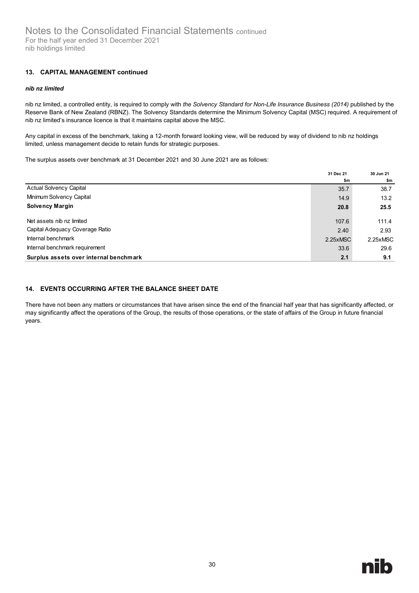#### **13. CAPITAL MANAGEMENT continued**

#### *nib nz limited*

nib nz limited, a controlled entity, is required to comply with *the Solvency Standard for Non-Life Insurance Business (2014)* published by the Reserve Bank of New Zealand (RBNZ). The Solvency Standards determine the Minimum Solvency Capital (MSC) required. A requirement of nib nz limited's insurance licence is that it maintains capital above the MSC.

Any capital in excess of the benchmark, taking a 12-month forward looking view, will be reduced by way of dividend to nib nz holdings limited, unless management decide to retain funds for strategic purposes.

The surplus assets over benchmark at 31 December 2021 and 30 June 2021 are as follows:

|                                        | 31 Dec 21 | 30 Jun 21 |
|----------------------------------------|-----------|-----------|
|                                        | \$m       | \$m       |
| <b>Actual Solvency Capital</b>         | 35.7      | 38.7      |
| Minimum Solvency Capital               | 14.9      | 13.2      |
| <b>Solvency Margin</b>                 | 20.8      | 25.5      |
| Net assets nib nz limited              | 107.6     | 111.4     |
| Capital Adequacy Coverage Ratio        | 2.40      | 2.93      |
| Internal benchmark                     | 2.25xMSC  | 2.25xMSC  |
| Internal benchmark requirement         | 33.6      | 29.6      |
| Surplus assets over internal benchmark | 2.1       | 9.1       |

#### <span id="page-35-0"></span>**14. EVENTS OCCURRING AFTER THE BALANCE SHEET DATE**

There have not been any matters or circumstances that have arisen since the end of the financial half year that has significantly affected, or may significantly affect the operations of the Group, the results of those operations, or the state of affairs of the Group in future financial years.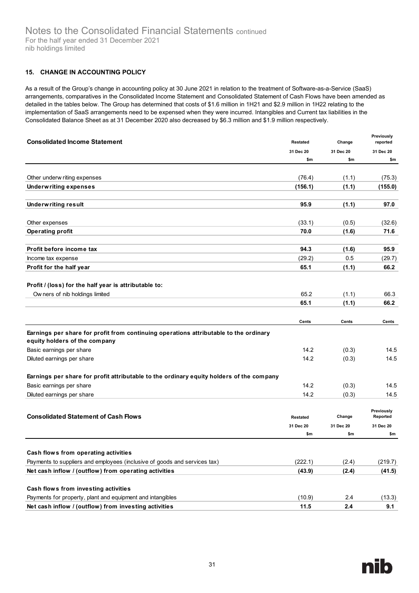#### <span id="page-36-0"></span>**15. CHANGE IN ACCOUNTING POLICY**

As a result of the Group's change in accounting policy at 30 June 2021 in relation to the treatment of Software-as-a-Service (SaaS) arrangements, comparatives in the Consolidated Income Statement and Consolidated Statement of Cash Flows have been amended as detailed in the tables below. The Group has determined that costs of \$1.6 million in 1H21 and \$2.9 million in 1H22 relating to the implementation of SaaS arrangements need to be expensed when they were incurred. Intangibles and Current tax liabilities in the Consolidated Balance Sheet as at 31 December 2020 also decreased by \$6.3 million and \$1.9 million respectively.

| <b>Consolidated Income Statement</b>                                                                                   | <b>Restated</b> | Change    | Previously<br>reported |
|------------------------------------------------------------------------------------------------------------------------|-----------------|-----------|------------------------|
|                                                                                                                        | 31 Dec 20       | 31 Dec 20 | 31 Dec 20              |
|                                                                                                                        | \$m             | \$m       | \$m                    |
|                                                                                                                        |                 |           |                        |
| Other underw riting expenses                                                                                           | (76.4)          | (1.1)     | (75.3)                 |
| <b>Underwriting expenses</b>                                                                                           | (156.1)         | (1.1)     | (155.0)                |
|                                                                                                                        |                 |           |                        |
| <b>Underwriting result</b>                                                                                             | 95.9            | (1.1)     | 97.0                   |
|                                                                                                                        |                 |           |                        |
| Other expenses                                                                                                         | (33.1)          | (0.5)     | (32.6)                 |
| <b>Operating profit</b>                                                                                                | 70.0            | (1.6)     | 71.6                   |
| Profit before income tax                                                                                               | 94.3            | (1.6)     | 95.9                   |
| Income tax expense                                                                                                     | (29.2)          | 0.5       | (29.7)                 |
| Profit for the half year                                                                                               | 65.1            | (1.1)     | 66.2                   |
|                                                                                                                        |                 |           |                        |
| Profit / (loss) for the half year is attributable to:                                                                  |                 |           |                        |
| Ow ners of nib holdings limited                                                                                        | 65.2            | (1.1)     | 66.3                   |
|                                                                                                                        | 65.1            | (1.1)     | 66.2                   |
|                                                                                                                        |                 |           |                        |
|                                                                                                                        | Cents           | Cents     | Cents                  |
| Earnings per share for profit from continuing operations attributable to the ordinary<br>equity holders of the company |                 |           |                        |
| Basic earnings per share                                                                                               | 14.2            | (0.3)     | 14.5                   |
| Diluted earnings per share                                                                                             | 14.2            | (0.3)     | 14.5                   |
| Earnings per share for profit attributable to the ordinary equity holders of the company                               |                 |           |                        |
| Basic earnings per share                                                                                               | 14.2            | (0.3)     | 14.5                   |
| Diluted earnings per share                                                                                             | 14.2            | (0.3)     | 14.5                   |
|                                                                                                                        |                 |           |                        |
| <b>Consolidated Statement of Cash Flows</b>                                                                            | Restated        | Change    | Previously<br>Reported |
|                                                                                                                        | 31 Dec 20       | 31 Dec 20 | 31 Dec 20              |
|                                                                                                                        | \$m             | \$m       | \$m                    |
|                                                                                                                        |                 |           |                        |
| Cash flows from operating activities                                                                                   |                 |           |                        |
| Payments to suppliers and employees (inclusive of goods and services tax)                                              | (222.1)         | (2.4)     | (219.7)                |
| Net cash inflow / (outflow) from operating activities                                                                  | (43.9)          | (2.4)     | (41.5)                 |
| Cash flows from investing activities                                                                                   |                 |           |                        |
| Payments for property, plant and equipment and intangibles                                                             | (10.9)          | 2.4       | (13.3)                 |
| Net cash inflow / (outflow) from investing activities                                                                  | 11.5            | 2.4       | 9.1                    |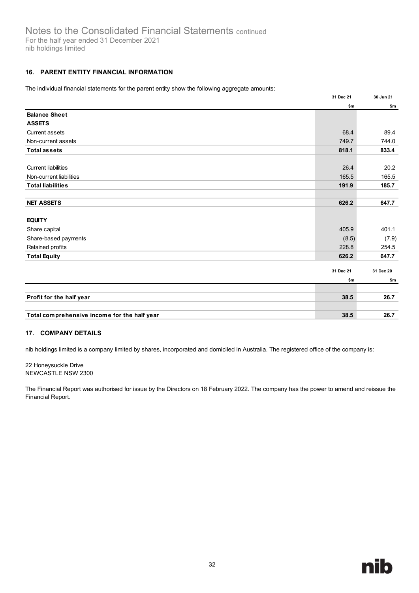## <span id="page-37-0"></span>**16. PARENT ENTITY FINANCIAL INFORMATION**

The individual financial statements for the parent entity show the following aggregate amounts:

|                                              | 31 Dec 21 | 30 Jun 21 |
|----------------------------------------------|-----------|-----------|
|                                              | \$m       | \$m       |
| <b>Balance Sheet</b>                         |           |           |
| <b>ASSETS</b>                                |           |           |
| <b>Current assets</b>                        | 68.4      | 89.4      |
| Non-current assets                           | 749.7     | 744.0     |
| <b>Total assets</b>                          | 818.1     | 833.4     |
|                                              |           |           |
| <b>Current liabilities</b>                   | 26.4      | 20.2      |
| Non-current liabilities                      | 165.5     | 165.5     |
| <b>Total liabilities</b>                     | 191.9     | 185.7     |
|                                              |           |           |
| <b>NET ASSETS</b>                            | 626.2     | 647.7     |
|                                              |           |           |
| <b>EQUITY</b>                                |           |           |
| Share capital                                | 405.9     | 401.1     |
| Share-based payments                         | (8.5)     | (7.9)     |
| Retained profits                             | 228.8     | 254.5     |
| <b>Total Equity</b>                          | 626.2     | 647.7     |
|                                              |           |           |
|                                              | 31 Dec 21 | 31 Dec 20 |
|                                              | \$m       | \$m       |
|                                              |           |           |
| Profit for the half year                     | 38.5      | 26.7      |
|                                              |           |           |
| Total comprehensive income for the half year | 38.5      | 26.7      |

#### <span id="page-37-1"></span>**17. COMPANY DETAILS**

nib holdings limited is a company limited by shares, incorporated and domiciled in Australia. The registered office of the company is:

22 Honeysuckle Drive NEWCASTLE NSW 2300

The Financial Report was authorised for issue by the Directors on 18 February 2022. The company has the power to amend and reissue the Financial Report.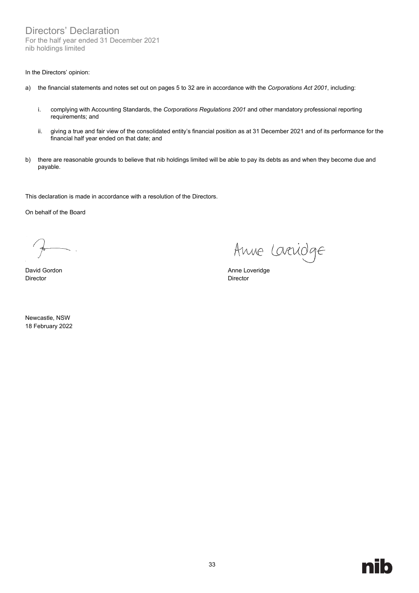Directors' Declaration For the half year ended 31 December 2021 nib holdings limited

#### In the Directors' opinion:

- a) the financial statements and notes set out on pages 5 to 32 are in accordance with the *Corporations Act 2001*, including:
	- i. complying with Accounting Standards, the *Corporations Regulations 2001* and other mandatory professional reporting requirements; and
	- ii. giving a true and fair view of the consolidated entity's financial position as at 31 December 2021 and of its performance for the financial half year ended on that date; and
- b) there are reasonable grounds to believe that nib holdings limited will be able to pay its debts as and when they become due and payable.

This declaration is made in accordance with a resolution of the Directors.

On behalf of the Board

 $\mathcal{A}$  $\frac{1}{\sqrt{2\pi}}$ 

Director Director

Newcastle, NSW 18 February 2022

Anne Laridge

David Gordon **Anne Loveridge Anne Loveridge**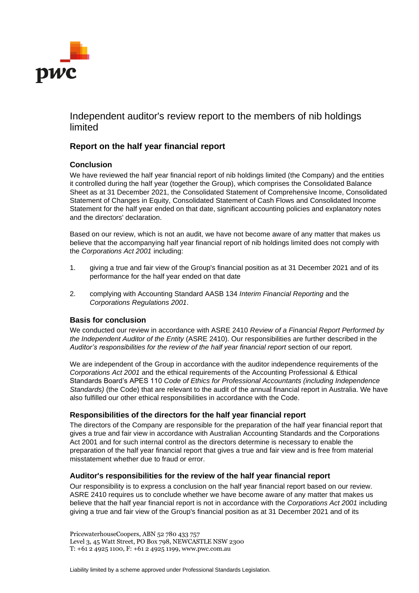

# Independent auditor's review report to the members of nib holdings limited

# **Report on the half year financial report**

### **Conclusion**

We have reviewed the half year financial report of nib holdings limited (the Company) and the entities it controlled during the half year (together the Group), which comprises the Consolidated Balance Sheet as at 31 December 2021, the Consolidated Statement of Comprehensive Income, Consolidated Statement of Changes in Equity, Consolidated Statement of Cash Flows and Consolidated Income Statement for the half year ended on that date, significant accounting policies and explanatory notes and the directors' declaration.

Based on our review, which is not an audit, we have not become aware of any matter that makes us believe that the accompanying half year financial report of nib holdings limited does not comply with the *Corporations Act 2001* including:

- 1. giving a true and fair view of the Group's financial position as at 31 December 2021 and of its performance for the half year ended on that date
- 2. complying with Accounting Standard AASB 134 *Interim Financial Reporting* and the *Corporations Regulations 2001*.

#### **Basis for conclusion**

We conducted our review in accordance with ASRE 2410 *Review of a Financial Report Performed by the Independent Auditor of the Entity* (ASRE 2410). Our responsibilities are further described in the *Auditor's responsibilities for the review of the half year financial report* section of our report.

We are independent of the Group in accordance with the auditor independence requirements of the *Corporations Act 2001* and the ethical requirements of the Accounting Professional & Ethical Standards Board's APES 110 *Code of Ethics for Professional Accountants (including Independence Standards)* (the Code) that are relevant to the audit of the annual financial report in Australia. We have also fulfilled our other ethical responsibilities in accordance with the Code.

#### **Responsibilities of the directors for the half year financial report**

The directors of the Company are responsible for the preparation of the half year financial report that gives a true and fair view in accordance with Australian Accounting Standards and the Corporations Act 2001 and for such internal control as the directors determine is necessary to enable the preparation of the half year financial report that gives a true and fair view and is free from material misstatement whether due to fraud or error.

#### **Auditor's responsibilities for the review of the half year financial report**

Our responsibility is to express a conclusion on the half year financial report based on our review. ASRE 2410 requires us to conclude whether we have become aware of any matter that makes us believe that the half year financial report is not in accordance with the *Corporations Act 2001* including giving a true and fair view of the Group's financial position as at 31 December 2021 and of its

PricewaterhouseCoopers, ABN 52 780 433 757 Level 3, 45 Watt Street, PO Box 798, NEWCASTLE NSW 2300 T: +61 2 4925 1100, F: +61 2 4925 1199, www.pwc.com.au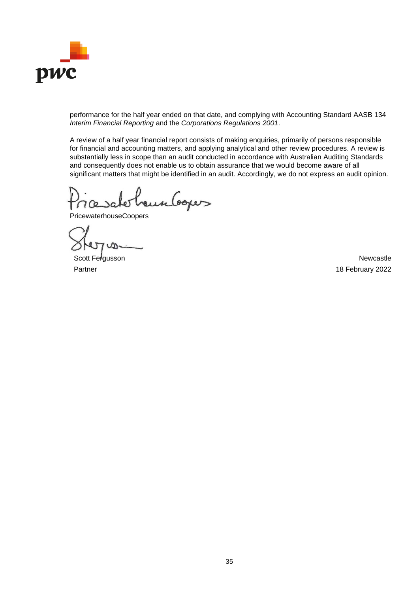

performance for the half year ended on that date, and complying with Accounting Standard AASB 134 *Interim Financial Reporting* and the *Corporations Regulations 2001*.

A review of a half year financial report consists of making enquiries, primarily of persons responsible for financial and accounting matters, and applying analytical and other review procedures. A review is substantially less in scope than an audit conducted in accordance with Australian Auditing Standards and consequently does not enable us to obtain assurance that we would become aware of all significant matters that might be identified in an audit. Accordingly, we do not express an audit opinion.

eunboper

PricewaterhouseCoopers

Scott Fergusson Newcastle Partner 18 February 2022